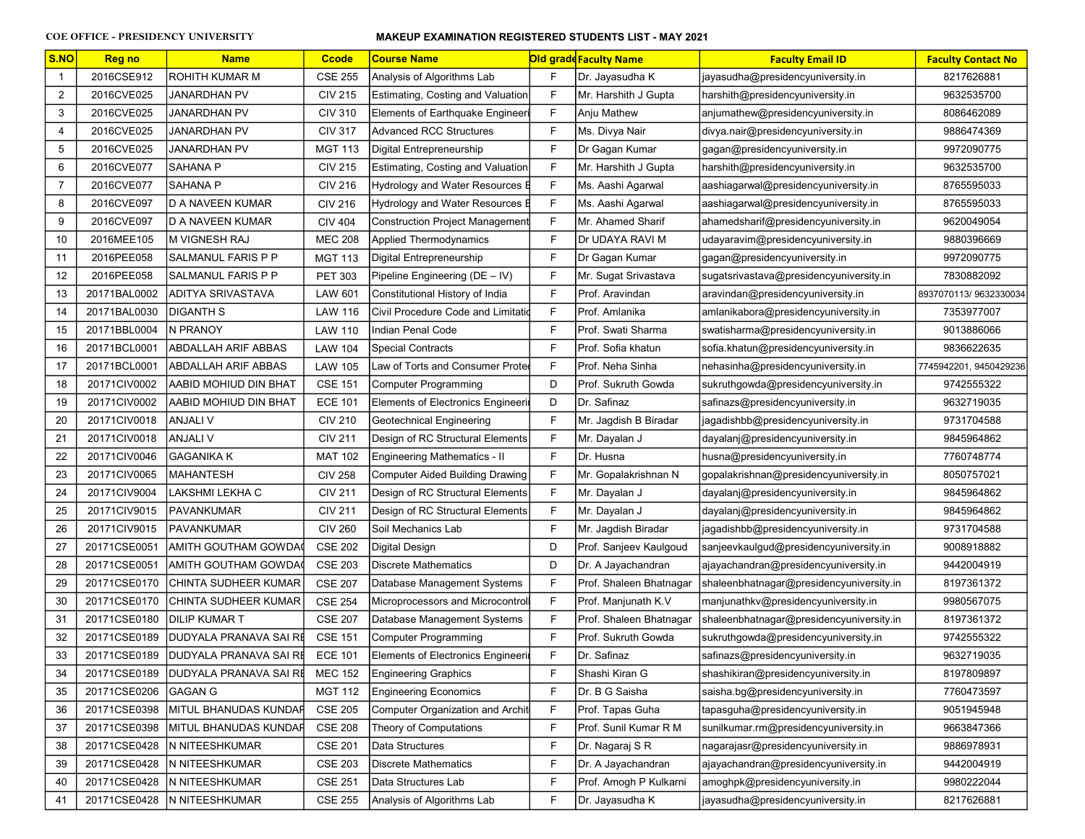| S.NO           | <b>Reg no</b> | <b>Name</b>                   | <b>Ccode</b>   | <b>Course Name</b>                       |              | <b>Old grade Faculty Name</b> | <b>Faculty Email ID</b>                  | <b>Faculty Contact No</b> |
|----------------|---------------|-------------------------------|----------------|------------------------------------------|--------------|-------------------------------|------------------------------------------|---------------------------|
| $\mathbf{1}$   | 2016CSE912    | ROHITH KUMAR M                | <b>CSE 255</b> | Analysis of Algorithms Lab               | F            | Dr. Jayasudha K               | jayasudha@presidencyuniversity.in        | 8217626881                |
| $\overline{2}$ | 2016CVE025    | <b>JANARDHAN PV</b>           | <b>CIV 215</b> | Estimating, Costing and Valuation        | F            | Mr. Harshith J Gupta          | harshith@presidencyuniversity.in         | 9632535700                |
| 3              | 2016CVE025    | <b>JANARDHAN PV</b>           | <b>CIV 310</b> | Elements of Earthquake Engineeri         | F            | Anju Mathew                   | anjumathew@presidencyuniversity.in       | 8086462089                |
| 4              | 2016CVE025    | <b>JANARDHAN PV</b>           | <b>CIV 317</b> | <b>Advanced RCC Structures</b>           | F            | Ms. Divya Nair                | divya.nair@presidencyuniversity.in       | 9886474369                |
| 5              | 2016CVE025    | <b>JANARDHAN PV</b>           | <b>MGT 113</b> | Digital Entrepreneurship                 | F            | Dr Gagan Kumar                | gagan@presidencyuniversity.in            | 9972090775                |
| 6              | 2016CVE077    | <b>SAHANA P</b>               | <b>CIV 215</b> | Estimating, Costing and Valuation        | F            | Mr. Harshith J Gupta          | harshith@presidencyuniversity.in         | 9632535700                |
| $\overline{7}$ | 2016CVE077    | <b>SAHANA P</b>               | <b>CIV 216</b> | Hydrology and Water Resources E          | F            | Ms. Aashi Agarwal             | aashiagarwal@presidencyuniversity.in     | 8765595033                |
| 8              | 2016CVE097    | D A NAVEEN KUMAR              | <b>CIV 216</b> | Hydrology and Water Resources B          | $\mathsf{F}$ | Ms. Aashi Agarwal             | aashiagarwal@presidencyuniversity.in     | 8765595033                |
| 9              | 2016CVE097    | ID A NAVEEN KUMAR             | <b>CIV 404</b> | <b>Construction Project Management</b>   | $\mathsf{F}$ | Mr. Ahamed Sharif             | ahamedsharif@presidencyuniversity.in     | 9620049054                |
| 10             | 2016MEE105    | M VIGNESH RAJ                 | <b>MEC 208</b> | Applied Thermodynamics                   | F            | Dr UDAYA RAVI M               | udayaravim@presidencyuniversity.in       | 9880396669                |
| 11             | 2016PEE058    | SALMANUL FARIS P P            | <b>MGT 113</b> | Digital Entrepreneurship                 | F            | Dr Gagan Kumar                | gagan@presidencyuniversity.in            | 9972090775                |
| 12             | 2016PEE058    | SALMANUL FARIS P P            | <b>PET 303</b> | Pipeline Engineering (DE - IV)           | F            | Mr. Sugat Srivastava          | sugatsrivastava@presidencyuniversity.in  | 7830882092                |
| 13             | 20171BAL0002  | ADITYA SRIVASTAVA             | LAW 601        | Constitutional History of India          | F            | Prof. Aravindan               | aravindan@presidencyuniversity.in        | 8937070113/9632330034     |
| 14             | 20171BAL0030  | DIGANTH S                     | <b>LAW 116</b> | Civil Procedure Code and Limitatio       | F            | Prof. Amlanika                | amlanikabora@presidencyuniversity.in     | 7353977007                |
| 15             | 20171BBL0004  | <b>N PRANOY</b>               | <b>LAW 110</b> | Indian Penal Code                        | F            | Prof. Swati Sharma            | swatisharma@presidencyuniversity.in      | 9013886066                |
| 16             | 20171BCL0001  | ABDALLAH ARIF ABBAS           | LAW 104        | <b>Special Contracts</b>                 | F            | Prof. Sofia khatun            | sofia.khatun@presidencyuniversity.in     | 9836622635                |
| 17             | 20171BCL0001  | ABDALLAH ARIF ABBAS           | <b>LAW 105</b> | Law of Torts and Consumer Prote          | F            | Prof. Neha Sinha              | nehasinha@presidencyuniversity.in        | 7745942201, 9450429236    |
| 18             | 20171CIV0002  | AABID MOHIUD DIN BHAT         | <b>CSE 151</b> | <b>Computer Programming</b>              | D            | Prof. Sukruth Gowda           | sukruthgowda@presidencyuniversity.in     | 9742555322                |
| 19             | 20171CIV0002  | AABID MOHIUD DIN BHAT         | <b>ECE 101</b> | <b>Elements of Electronics Engineeri</b> | D            | Dr. Safinaz                   | safinazs@presidencyuniversity.in         | 9632719035                |
| 20             | 20171CIV0018  | ANJALI V                      | <b>CIV 210</b> | Geotechnical Engineering                 | F            | Mr. Jagdish B Biradar         | jagadishbb@presidencyuniversity.in       | 9731704588                |
| 21             | 20171CIV0018  | ANJALI V                      | <b>CIV 211</b> | Design of RC Structural Elements         | F            | Mr. Dayalan J                 | dayalanj@presidencyuniversity.in         | 9845964862                |
| 22             | 20171CIV0046  | GAGANIKA K                    | <b>MAT 102</b> | <b>Engineering Mathematics - II</b>      | F            | Dr. Husna                     | husna@presidencyuniversity.in            | 7760748774                |
| 23             | 20171CIV0065  | MAHANTESH                     | <b>CIV 258</b> | <b>Computer Aided Building Drawing</b>   | F            | Mr. Gopalakrishnan N          | gopalakrishnan@presidencyuniversity.in   | 8050757021                |
| 24             | 20171CIV9004  | LAKSHMI LEKHA C               | <b>CIV 211</b> | Design of RC Structural Elements         | F            | Mr. Dayalan J                 | dayalanj@presidencyuniversity.in         | 9845964862                |
| 25             | 20171CIV9015  | PAVANKUMAR                    | <b>CIV 211</b> | Design of RC Structural Elements         | F            | Mr. Dayalan J                 | dayalanj@presidencyuniversity.in         | 9845964862                |
| 26             | 20171CIV9015  | <b>PAVANKUMAR</b>             | <b>CIV 260</b> | Soil Mechanics Lab                       | F            | Mr. Jagdish Biradar           | jagadishbb@presidencyuniversity.in       | 9731704588                |
| 27             | 20171CSE0051  | AMITH GOUTHAM GOWDA           | <b>CSE 202</b> | <b>Digital Design</b>                    | D            | Prof. Sanjeev Kaulgoud        | sanjeevkaulgud@presidencyuniversity.in   | 9008918882                |
| 28             | 20171CSE0051  | AMITH GOUTHAM GOWDA(          | <b>CSE 203</b> | <b>Discrete Mathematics</b>              | D            | Dr. A Jayachandran            | ajayachandran@presidencyuniversity.in    | 9442004919                |
| 29             | 20171CSE0170  | CHINTA SUDHEER KUMAR          | <b>CSE 207</b> | Database Management Systems              | F            | Prof. Shaleen Bhatnagar       | shaleenbhatnagar@presidencyuniversity.in | 8197361372                |
| 30             | 20171CSE0170  | CHINTA SUDHEER KUMAR          | <b>CSE 254</b> | Microprocessors and Microcontrol         | F            | Prof. Manjunath K.V           | manjunathkv@presidencyuniversity.in      | 9980567075                |
| 31             | 20171CSE0180  | DILIP KUMAR T                 | <b>CSE 207</b> | Database Management Systems              | F            | Prof. Shaleen Bhatnagar       | shaleenbhatnagar@presidencyuniversity.in | 8197361372                |
| 32             | 20171CSE0189  | <b>DUDYALA PRANAVA SAI RE</b> | <b>CSE 151</b> | <b>Computer Programming</b>              | F            | Prof. Sukruth Gowda           | sukruthgowda@presidencyuniversity.in     | 9742555322                |
| 33             | 20171CSE0189  | <b>DUDYALA PRANAVA SAI RE</b> | <b>ECE 101</b> | <b>Elements of Electronics Engineeri</b> | F            | Dr. Safinaz                   | safinazs@presidencyuniversity.in         | 9632719035                |
| 34             | 20171CSE0189  | DUDYALA PRANAVA SAI RE        | <b>MEC 152</b> | <b>Engineering Graphics</b>              | F            | Shashi Kiran G                | shashikiran@presidencyuniversity.in      | 8197809897                |
| 35             | 20171CSE0206  | GAGAN G                       | <b>MGT 112</b> | <b>Engineering Economics</b>             | F            | Dr. B G Saisha                | saisha.bg@presidencyuniversity.in        | 7760473597                |
| 36             | 20171CSE0398  | MITUL BHANUDAS KUNDAF         | <b>CSE 205</b> | <b>Computer Organization and Archit</b>  | F            | Prof. Tapas Guha              | tapasguha@presidencyuniversity.in        | 9051945948                |
| 37             | 20171CSE0398  | MITUL BHANUDAS KUNDAF         | <b>CSE 208</b> | Theory of Computations                   | F            | Prof. Sunil Kumar R M         | sunilkumar.rm@presidencyuniversity.in    | 9663847366                |
| 38             | 20171CSE0428  | N NITEESHKUMAR                | <b>CSE 201</b> | Data Structures                          | F            | Dr. Nagaraj S R               | nagarajasr@presidencyuniversity.in       | 9886978931                |
| 39             | 20171CSE0428  | N NITEESHKUMAR                | <b>CSE 203</b> | <b>Discrete Mathematics</b>              | F            | Dr. A Jayachandran            | ajayachandran@presidencyuniversity.in    | 9442004919                |
| 40             | 20171CSE0428  | N NITEESHKUMAR                | <b>CSE 251</b> | Data Structures Lab                      | F            | Prof. Amogh P Kulkarni        | amoghpk@presidencyuniversity.in          | 9980222044                |
| 41             | 20171CSE0428  | N NITEESHKUMAR                | <b>CSE 255</b> | Analysis of Algorithms Lab               | F            | Dr. Jayasudha K               | jayasudha@presidencyuniversity.in        | 8217626881                |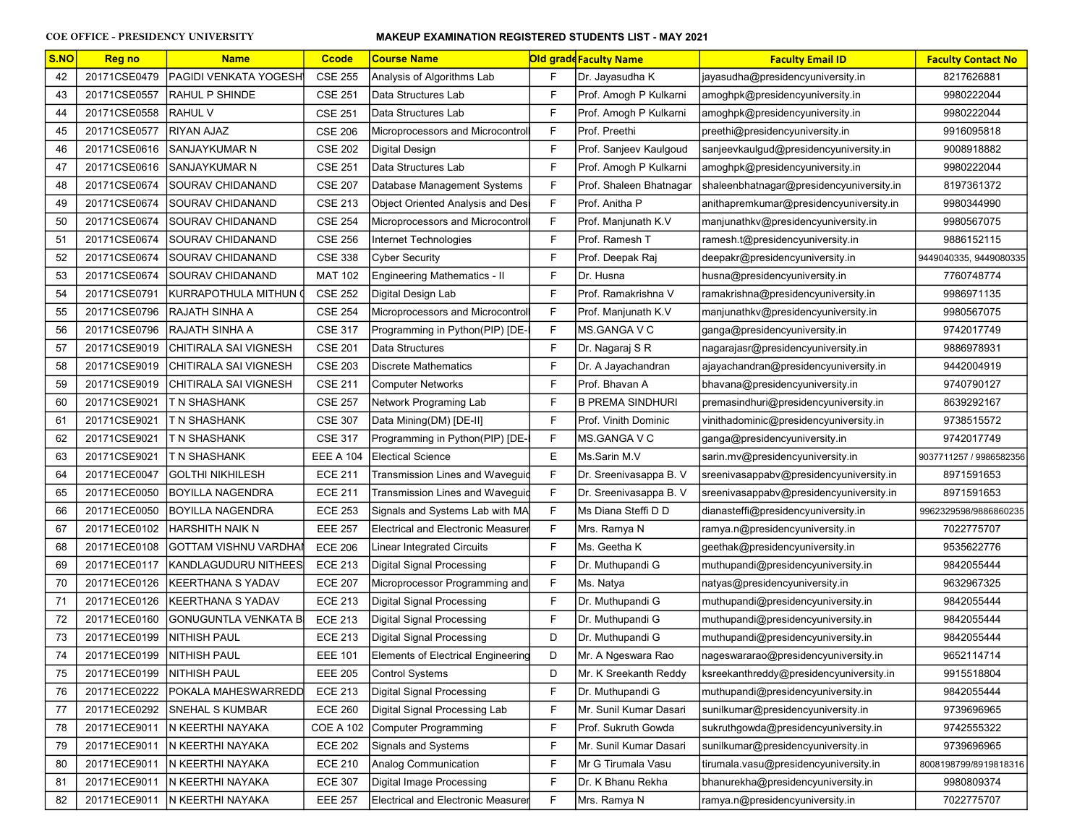| S.NO | <b>Reg no</b> | <b>Name</b>                  | <b>Ccode</b>     | <b>Course Name</b>                        |   | <b>Old grade Faculty Name</b> | <b>Faculty Email ID</b>                  | <b>Faculty Contact No</b> |
|------|---------------|------------------------------|------------------|-------------------------------------------|---|-------------------------------|------------------------------------------|---------------------------|
| 42   | 20171CSE0479  | PAGIDI VENKATA YOGESH        | <b>CSE 255</b>   | Analysis of Algorithms Lab                | F | Dr. Jayasudha K               | jayasudha@presidencyuniversity.in        | 8217626881                |
| 43   | 20171CSE0557  | RAHUL P SHINDE               | <b>CSE 251</b>   | Data Structures Lab                       | F | Prof. Amogh P Kulkarni        | amoghpk@presidencyuniversity.in          | 9980222044                |
| 44   | 20171CSE0558  | RAHUL V                      | <b>CSE 251</b>   | Data Structures Lab                       | F | Prof. Amogh P Kulkarni        | amoghpk@presidencyuniversity.in          | 9980222044                |
| 45   | 20171CSE0577  | RIYAN AJAZ                   | <b>CSE 206</b>   | Microprocessors and Microcontrol          | F | Prof. Preethi                 | preethi@presidencyuniversity.in          | 9916095818                |
| 46   | 20171CSE0616  | ISANJAYKUMAR N               | <b>CSE 202</b>   | Digital Design                            | F | Prof. Sanjeev Kaulgoud        | sanjeevkaulgud@presidencyuniversity.in   | 9008918882                |
| 47   | 20171CSE0616  | SANJAYKUMAR N                | <b>CSE 251</b>   | Data Structures Lab                       | F | Prof. Amogh P Kulkarni        | amoghpk@presidencyuniversity.in          | 9980222044                |
| 48   | 20171CSE0674  | ISOURAV CHIDANAND            | <b>CSE 207</b>   | Database Management Systems               | F | Prof. Shaleen Bhatnagar       | shaleenbhatnagar@presidencyuniversity.in | 8197361372                |
| 49   | 20171CSE0674  | ISOURAV CHIDANAND            | <b>CSE 213</b>   | Object Oriented Analysis and Desi         | F | Prof. Anitha P                | anithapremkumar@presidencyuniversity.in  | 9980344990                |
| 50   | 20171CSE0674  | SOURAV CHIDANAND             | <b>CSE 254</b>   | Microprocessors and Microcontrol          | F | Prof. Manjunath K.V           | manjunathkv@presidencyuniversity.in      | 9980567075                |
| 51   | 20171CSE0674  | SOURAV CHIDANAND             | <b>CSE 256</b>   | Internet Technologies                     | F | Prof. Ramesh T                | ramesh.t@presidencyuniversity.in         | 9886152115                |
| 52   | 20171CSE0674  | SOURAV CHIDANAND             | <b>CSE 338</b>   | <b>Cyber Security</b>                     | F | Prof. Deepak Raj              | deepakr@presidencyuniversity.in          | 9449040335, 9449080335    |
| 53   | 20171CSE0674  | SOURAV CHIDANAND             | <b>MAT 102</b>   | <b>Engineering Mathematics - II</b>       | F | Dr. Husna                     | husna@presidencyuniversity.in            | 7760748774                |
| 54   | 20171CSE0791  | KURRAPOTHULA MITHUN (        | <b>CSE 252</b>   | Digital Design Lab                        | F | Prof. Ramakrishna V           | ramakrishna@presidencyuniversity.in      | 9986971135                |
| 55   | 20171CSE0796  | RAJATH SINHA A               | <b>CSE 254</b>   | Microprocessors and Microcontrol          | F | Prof. Manjunath K.V           | manjunathkv@presidencyuniversity.in      | 9980567075                |
| 56   | 20171CSE0796  | RAJATH SINHA A               | <b>CSE 317</b>   | Programming in Python(PIP) [DE-           | F | MS.GANGA V C                  | ganga@presidencyuniversity.in            | 9742017749                |
| 57   | 20171CSE9019  | CHITIRALA SAI VIGNESH        | <b>CSE 201</b>   | Data Structures                           | F | Dr. Nagaraj S R               | nagarajasr@presidencyuniversity.in       | 9886978931                |
| 58   | 20171CSE9019  | CHITIRALA SAI VIGNESH        | <b>CSE 203</b>   | <b>Discrete Mathematics</b>               | F | Dr. A Jayachandran            | ajayachandran@presidencyuniversity.in    | 9442004919                |
| 59   | 20171CSE9019  | CHITIRALA SAI VIGNESH        | <b>CSE 211</b>   | <b>Computer Networks</b>                  | F | Prof. Bhavan A                | bhavana@presidencyuniversity.in          | 9740790127                |
| 60   | 20171CSE9021  | T N SHASHANK                 | <b>CSE 257</b>   | Network Programing Lab                    | F | <b>B PREMA SINDHURI</b>       | premasindhuri@presidencyuniversity.in    | 8639292167                |
| 61   | 20171CSE9021  | T N SHASHANK                 | <b>CSE 307</b>   | Data Mining(DM) [DE-II]                   | F | Prof. Vinith Dominic          | vinithadominic@presidencyuniversity.in   | 9738515572                |
| 62   | 20171CSE9021  | T N SHASHANK                 | <b>CSE 317</b>   | Programming in Python(PIP) [DE-           | F | MS.GANGA V C                  | ganga@presidencyuniversity.in            | 9742017749                |
| 63   | 20171CSE9021  | T N SHASHANK                 | <b>EEE A 104</b> | <b>Electical Science</b>                  | E | Ms.Sarin M.V                  | sarin.mv@presidencyuniversity.in         | 9037711257 / 9986582356   |
| 64   | 20171ECE0047  | GOLTHI NIKHILESH             | <b>ECE 211</b>   | Transmission Lines and Waveguid           | F | Dr. Sreenivasappa B. V        | sreenivasappabv@presidencyuniversity.in  | 8971591653                |
| 65   | 20171ECE0050  | <b>BOYILLA NAGENDRA</b>      | <b>ECE 211</b>   | Transmission Lines and Waveguid           | F | Dr. Sreenivasappa B. V        | sreenivasappabv@presidencyuniversity.in  | 8971591653                |
| 66   | 20171ECE0050  | BOYILLA NAGENDRA             | <b>ECE 253</b>   | Signals and Systems Lab with MA           | F | Ms Diana Steffi D D           | dianasteffi@presidencyuniversity.in      | 9962329598/9886860235     |
| 67   | 20171ECE0102  | HARSHITH NAIK N              | <b>EEE 257</b>   | <b>Electrical and Electronic Measurer</b> | F | Mrs. Ramya N                  | ramya.n@presidencyuniversity.in          | 7022775707                |
| 68   | 20171ECE0108  | GOTTAM VISHNU VARDHA∥        | <b>ECE 206</b>   | Linear Integrated Circuits                | F | Ms. Geetha K                  | geethak@presidencyuniversity.in          | 9535622776                |
| 69   | 20171ECE0117  | KANDLAGUDURU NITHEES         | <b>ECE 213</b>   | Digital Signal Processing                 | F | Dr. Muthupandi G              | muthupandi@presidencyuniversity.in       | 9842055444                |
| 70   | 20171ECE0126  | KEERTHANA S YADAV            | <b>ECE 207</b>   | Microprocessor Programming and            | F | Ms. Natya                     | natyas@presidencyuniversity.in           | 9632967325                |
| 71   | 20171ECE0126  | IKEERTHANA S YADAV           | <b>ECE 213</b>   | <b>Digital Signal Processing</b>          | F | Dr. Muthupandi G              | muthupandi@presidencyuniversity.in       | 9842055444                |
| 72   | 20171ECE0160  | <b>GONUGUNTLA VENKATA BI</b> | <b>ECE 213</b>   | Digital Signal Processing                 | F | Dr. Muthupandi G              | muthupandi@presidencyuniversity.in       | 9842055444                |
| 73   | 20171ECE0199  | NITHISH PAUL                 | <b>ECE 213</b>   | Digital Signal Processing                 | D | Dr. Muthupandi G              | muthupandi@presidencyuniversity.in       | 9842055444                |
| 74   | 20171ECE0199  | <b>INITHISH PAUL</b>         | <b>EEE 101</b>   | Elements of Electrical Engineering        | D | Mr. A Ngeswara Rao            | nageswararao@presidencyuniversity.in     | 9652114714                |
| 75   | 20171ECE0199  | NITHISH PAUL                 | <b>EEE 205</b>   | <b>Control Systems</b>                    | D | Mr. K Sreekanth Reddy         | ksreekanthreddy@presidencyuniversity.in  | 9915518804                |
| 76   | 20171ECE0222  | POKALA MAHESWARREDD          | <b>ECE 213</b>   | Digital Signal Processing                 | F | Dr. Muthupandi G              | muthupandi@presidencyuniversity.in       | 9842055444                |
| 77   | 20171ECE0292  | SNEHAL S KUMBAR              | <b>ECE 260</b>   | Digital Signal Processing Lab             | F | Mr. Sunil Kumar Dasari        | sunilkumar@presidencyuniversity.in       | 9739696965                |
| 78   | 20171ECE9011  | N KEERTHI NAYAKA             | <b>COE A 102</b> | Computer Programming                      | F | Prof. Sukruth Gowda           | sukruthgowda@presidencyuniversity.in     | 9742555322                |
| 79   | 20171ECE9011  | N KEERTHI NAYAKA             | <b>ECE 202</b>   | Signals and Systems                       | F | Mr. Sunil Kumar Dasari        | sunilkumar@presidencyuniversity.in       | 9739696965                |
| 80   | 20171ECE9011  | N KEERTHI NAYAKA             | <b>ECE 210</b>   | Analog Communication                      | F | Mr G Tirumala Vasu            | tirumala.vasu@presidencyuniversity.in    | 8008198799/8919818316     |
| 81   | 20171ECE9011  | N KEERTHI NAYAKA             | <b>ECE 307</b>   | Digital Image Processing                  | F | Dr. K Bhanu Rekha             | bhanurekha@presidencyuniversity.in       | 9980809374                |
| 82   | 20171ECE9011  | N KEERTHI NAYAKA             | <b>EEE 257</b>   | <b>Electrical and Electronic Measurer</b> | F | Mrs. Ramya N                  | ramya.n@presidencyuniversity.in          | 7022775707                |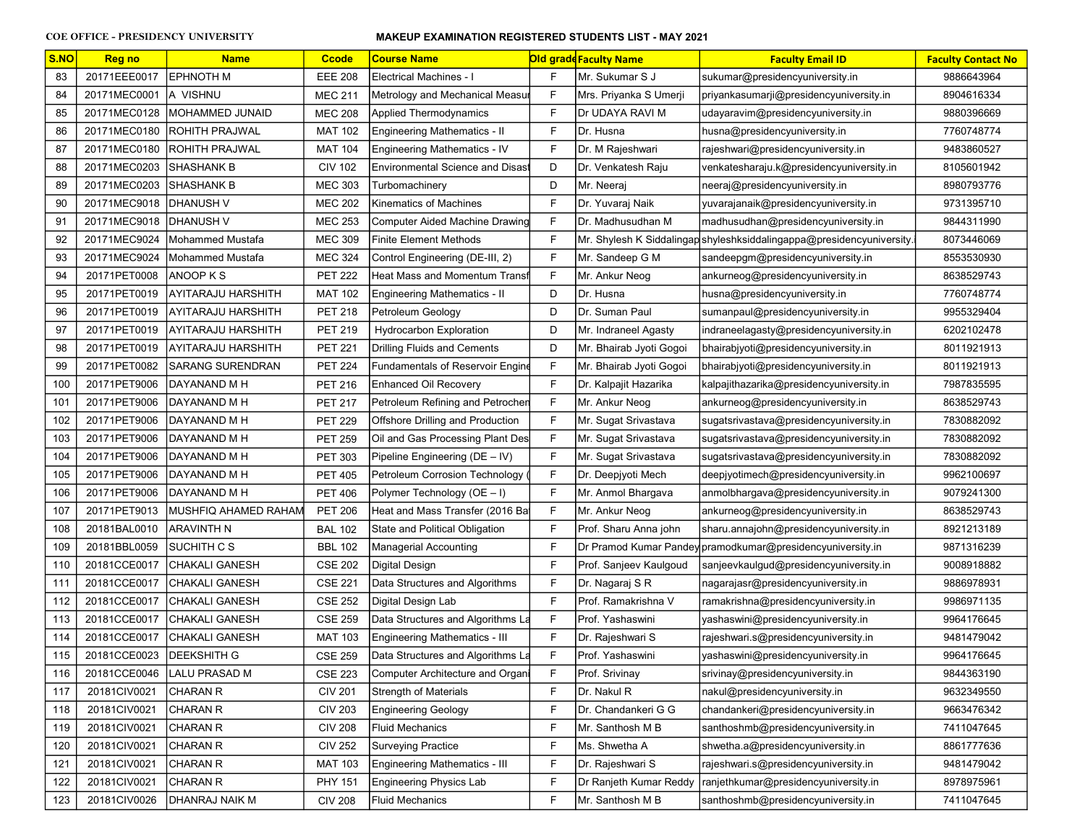| S.NO | <b>Reg no</b> | <b>Name</b>              | <b>Ccode</b>   | <b>Course Name</b>                      |              | <b>Old grade Faculty Name</b> | <b>Faculty Email ID</b>                                               | <b>Faculty Contact No</b> |
|------|---------------|--------------------------|----------------|-----------------------------------------|--------------|-------------------------------|-----------------------------------------------------------------------|---------------------------|
| 83   | 20171EEE0017  | <b>EPHNOTH M</b>         | <b>EEE 208</b> | <b>Electrical Machines - I</b>          | F            | Mr. Sukumar S J               | sukumar@presidencyuniversity.in                                       | 9886643964                |
| 84   | 20171MEC0001  | <b>JA VISHNU</b>         | <b>MEC 211</b> | Metrology and Mechanical Measur         | F            | Mrs. Priyanka S Umerji        | priyankasumarji@presidencyuniversity.in                               | 8904616334                |
| 85   | 20171MEC0128  | <b>IMOHAMMED JUNAID</b>  | <b>MEC 208</b> | Applied Thermodynamics                  | F            | Dr UDAYA RAVI M               | udayaravim@presidencyuniversity.in                                    | 9880396669                |
| 86   | 20171MEC0180  | <b>ROHITH PRAJWAL</b>    | <b>MAT 102</b> | <b>Engineering Mathematics - II</b>     | F            | Dr. Husna                     | husna@presidencyuniversity.in                                         | 7760748774                |
| 87   | 20171MEC0180  | ROHITH PRAJWAL           | <b>MAT 104</b> | Engineering Mathematics - IV            | F            | Dr. M Rajeshwari              | rajeshwari@presidencyuniversity.in                                    | 9483860527                |
| 88   | 20171MEC0203  | SHASHANK B               | <b>CIV 102</b> | <b>Environmental Science and Disas</b>  | D            | Dr. Venkatesh Raju            | venkatesharaju.k@presidencyuniversity.in                              | 8105601942                |
| 89   | 20171MEC0203  | SHASHANK B               | <b>MEC 303</b> | Turbomachinery                          | D            | Mr. Neeraj                    | neeraj@presidencyuniversity.in                                        | 8980793776                |
| 90   | 20171MEC9018  | <b>IDHANUSH V</b>        | <b>MEC 202</b> | Kinematics of Machines                  | F            | Dr. Yuvaraj Naik              | yuvarajanaik@presidencyuniversity.in                                  | 9731395710                |
| 91   | 20171MEC9018  | <b>IDHANUSH V</b>        | <b>MEC 253</b> | <b>Computer Aided Machine Drawing</b>   | F            | Dr. Madhusudhan M             | madhusudhan@presidencyuniversity.in                                   | 9844311990                |
| 92   | 20171MEC9024  | IMohammed Mustafa        | <b>MEC 309</b> | <b>Finite Element Methods</b>           | F            |                               | Mr. Shylesh K Siddalingap shyleshksiddalingappa@presidencyuniversity. | 8073446069                |
| 93   | 20171MEC9024  | Mohammed Mustafa         | <b>MEC 324</b> | Control Engineering (DE-III, 2)         | F            | Mr. Sandeep G M               | sandeepgm@presidencyuniversity.in                                     | 8553530930                |
| 94   | 20171PET0008  | ANOOP K S                | <b>PET 222</b> | <b>Heat Mass and Momentum Transt</b>    | F            | Mr. Ankur Neog                | ankurneog@presidencyuniversity.in                                     | 8638529743                |
| 95   | 20171PET0019  | AYITARAJU HARSHITH       | <b>MAT 102</b> | <b>Engineering Mathematics - II</b>     | D            | Dr. Husna                     | husna@presidencyuniversity.in                                         | 7760748774                |
| 96   | 20171PET0019  | AYITARAJU HARSHITH       | <b>PET 218</b> | Petroleum Geology                       | D            | Dr. Suman Paul                | sumanpaul@presidencyuniversity.in                                     | 9955329404                |
| 97   | 20171PET0019  | AYITARAJU HARSHITH       | <b>PET 219</b> | <b>Hydrocarbon Exploration</b>          | D            | Mr. Indraneel Agasty          | indraneelagasty@presidencyuniversity.in                               | 6202102478                |
| 98   | 20171PET0019  | AYITARAJU HARSHITH       | <b>PET 221</b> | <b>Drilling Fluids and Cements</b>      | D            | Mr. Bhairab Jyoti Gogoi       | bhairabjyoti@presidencyuniversity.in                                  | 8011921913                |
| 99   | 20171PET0082  | <b>ISARANG SURENDRAN</b> | <b>PET 224</b> | <b>Fundamentals of Reservoir Engine</b> | F            | Mr. Bhairab Jyoti Gogoi       | bhairabjyoti@presidencyuniversity.in                                  | 8011921913                |
| 100  | 20171PET9006  | DAYANAND M H             | <b>PET 216</b> | <b>Enhanced Oil Recovery</b>            | F            | Dr. Kalpajit Hazarika         | kalpajithazarika@presidencyuniversity.in                              | 7987835595                |
| 101  | 20171PET9006  | DAYANAND M H             | <b>PET 217</b> | Petroleum Refining and Petrochen        | F            | Mr. Ankur Neog                | ankurneog@presidencyuniversity.in                                     | 8638529743                |
| 102  | 20171PET9006  | IDAYANAND M H            | <b>PET 229</b> | Offshore Drilling and Production        | F            | Mr. Sugat Srivastava          | sugatsrivastava@presidencyuniversity.in                               | 7830882092                |
| 103  | 20171PET9006  | DAYANAND M H             | <b>PET 259</b> | Oil and Gas Processing Plant Des        | F            | Mr. Sugat Srivastava          | sugatsrivastava@presidencyuniversity.in                               | 7830882092                |
| 104  | 20171PET9006  | DAYANAND M H             | <b>PET 303</b> | Pipeline Engineering (DE - IV)          | F            | Mr. Sugat Srivastava          | sugatsrivastava@presidencyuniversity.in                               | 7830882092                |
| 105  | 20171PET9006  | DAYANAND M H             | <b>PET 405</b> | Petroleum Corrosion Technology          | F            | Dr. Deepjyoti Mech            | deepjyotimech@presidencyuniversity.in                                 | 9962100697                |
| 106  | 20171PET9006  | DAYANAND M H             | <b>PET 406</b> | Polymer Technology (OE - I)             | F            | Mr. Anmol Bhargava            | anmolbhargava@presidencyuniversity.in                                 | 9079241300                |
| 107  | 20171PET9013  | MUSHFIQ AHAMED RAHAM     | <b>PET 206</b> | Heat and Mass Transfer (2016 Ba)        | F            | Mr. Ankur Neog                | ankurneog@presidencyuniversity.in                                     | 8638529743                |
| 108  | 20181BAL0010  | ARAVINTH N               | <b>BAL 102</b> | State and Political Obligation          | F            | Prof. Sharu Anna john         | sharu.annajohn@presidencyuniversity.in                                | 8921213189                |
| 109  | 20181BBL0059  | SUCHITH C S              | <b>BBL 102</b> | <b>Managerial Accounting</b>            | F            |                               | Dr Pramod Kumar Pandey pramodkumar@presidencyuniversity.in            | 9871316239                |
| 110  | 20181CCE0017  | CHAKALI GANESH           | <b>CSE 202</b> | Digital Design                          | F            | Prof. Sanjeev Kaulgoud        | sanjeevkaulgud@presidencyuniversity.in                                | 9008918882                |
| 111  | 20181CCE0017  | CHAKALI GANESH           | <b>CSE 221</b> | Data Structures and Algorithms          | F            | Dr. Nagaraj S R               | nagarajasr@presidencyuniversity.in                                    | 9886978931                |
| 112  | 20181CCE0017  | CHAKALI GANESH           | <b>CSE 252</b> | Digital Design Lab                      | $\mathsf{F}$ | Prof. Ramakrishna V           | ramakrishna@presidencyuniversity.in                                   | 9986971135                |
| 113  | 20181CCE0017  | CHAKALI GANESH           | <b>CSE 259</b> | Data Structures and Algorithms La       | F            | Prof. Yashaswini              | yashaswini@presidencyuniversity.in                                    | 9964176645                |
| 114  | 20181CCE0017  | İCHAKALI GANESH          | <b>MAT 103</b> | Engineering Mathematics - III           | F            | Dr. Rajeshwari S              | rajeshwari.s@presidencyuniversity.in                                  | 9481479042                |
| 115  | 20181CCE0023  | <b>DEEKSHITH G</b>       | <b>CSE 259</b> | Data Structures and Algorithms La       | F            | Prof. Yashaswini              | yashaswini@presidencyuniversity.in                                    | 9964176645                |
| 116  | 20181CCE0046  | LALU PRASAD M            | <b>CSE 223</b> | Computer Architecture and Organi        | F            | Prof. Srivinay                | srivinay@presidencyuniversity.in                                      | 9844363190                |
| 117  | 20181CIV0021  | CHARAN R                 | <b>CIV 201</b> | <b>Strength of Materials</b>            | F            | Dr. Nakul R                   | nakul@presidencyuniversity.in                                         | 9632349550                |
| 118  | 20181CIV0021  | CHARAN R                 | <b>CIV 203</b> | <b>Engineering Geology</b>              | F            | Dr. Chandankeri G G           | chandankeri@presidencyuniversity.in                                   | 9663476342                |
| 119  | 20181CIV0021  | CHARAN R                 | <b>CIV 208</b> | <b>Fluid Mechanics</b>                  | F            | Mr. Santhosh M B              | santhoshmb@presidencyuniversity.in                                    | 7411047645                |
| 120  | 20181CIV0021  | CHARAN R                 | <b>CIV 252</b> | <b>Surveying Practice</b>               | F            | Ms. Shwetha A                 | shwetha.a@presidencyuniversity.in                                     | 8861777636                |
| 121  | 20181CIV0021  | CHARAN R                 | <b>MAT 103</b> | Engineering Mathematics - III           | F            | Dr. Rajeshwari S              | rajeshwari.s@presidencyuniversity.in                                  | 9481479042                |
| 122  | 20181CIV0021  | CHARAN R                 | <b>PHY 151</b> | <b>Engineering Physics Lab</b>          | F            | Dr Ranjeth Kumar Reddy        | ranjethkumar@presidencyuniversity.in                                  | 8978975961                |
| 123  | 20181CIV0026  | DHANRAJ NAIK M           | <b>CIV 208</b> | <b>Fluid Mechanics</b>                  | F            | Mr. Santhosh M B              | santhoshmb@presidencyuniversity.in                                    | 7411047645                |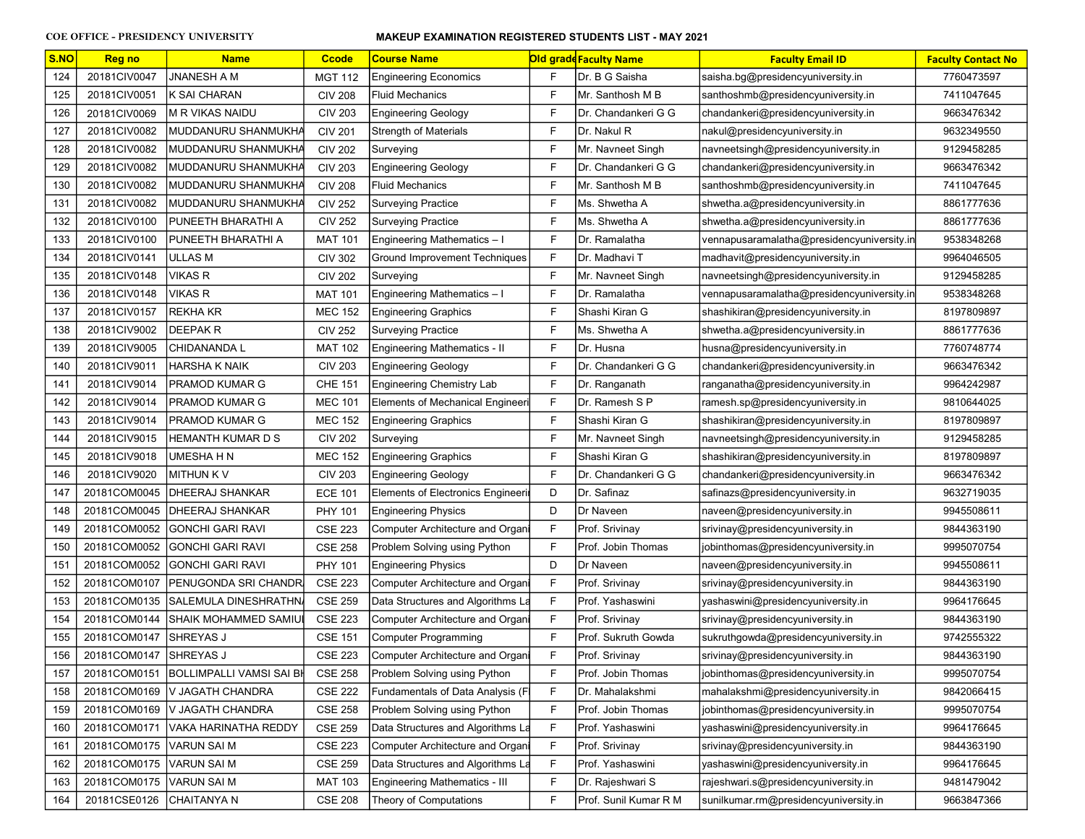| S.NO | <b>Reg no</b>          | <b>Name</b>                     | <b>Ccode</b>   | <b>Course Name</b>                       |              | Old gradd Faculty Name | <b>Faculty Email ID</b>                    | <b>Faculty Contact No</b> |
|------|------------------------|---------------------------------|----------------|------------------------------------------|--------------|------------------------|--------------------------------------------|---------------------------|
| 124  | 20181CIV0047           | JNANESH A M                     | <b>MGT 112</b> | <b>Engineering Economics</b>             | F            | Dr. B G Saisha         | saisha.bg@presidencyuniversity.in          | 7760473597                |
| 125  | 20181CIV0051           | K SAI CHARAN                    | <b>CIV 208</b> | <b>Fluid Mechanics</b>                   | F            | IMr. Santhosh M B      | santhoshmb@presidencyuniversity.in         | 7411047645                |
| 126  | 20181CIV0069           | M R VIKAS NAIDU                 | <b>CIV 203</b> | <b>Engineering Geology</b>               | F            | Dr. Chandankeri G G    | chandankeri@presidencyuniversity.in        | 9663476342                |
| 127  | 20181CIV0082           | MUDDANURU SHANMUKHA             | <b>CIV 201</b> | Strength of Materials                    | F            | Dr. Nakul R            | nakul@presidencyuniversity.in              | 9632349550                |
| 128  | 20181CIV0082           | MUDDANURU SHANMUKHA             | <b>CIV 202</b> | Surveying                                | F            | Mr. Navneet Singh      | navneetsingh@presidencyuniversity.in       | 9129458285                |
| 129  | 20181CIV0082           | MUDDANURU SHANMUKHA             | <b>CIV 203</b> | <b>Engineering Geology</b>               | F            | Dr. Chandankeri G G    | chandankeri@presidencyuniversity.in        | 9663476342                |
| 130  | 20181CIV0082           | MUDDANURU SHANMUKHA             | <b>CIV 208</b> | <b>Fluid Mechanics</b>                   | F            | Mr. Santhosh M B       | santhoshmb@presidencyuniversity.in         | 7411047645                |
| 131  | 20181CIV0082           | MUDDANURU SHANMUKHA             | <b>CIV 252</b> | <b>Surveying Practice</b>                | F            | Ms. Shwetha A          | shwetha.a@presidencyuniversity.in          | 8861777636                |
| 132  | 20181CIV0100           | PUNEETH BHARATHI A              | <b>CIV 252</b> | <b>Surveying Practice</b>                | F            | Ms. Shwetha A          | shwetha.a@presidencyuniversity.in          | 8861777636                |
| 133  | 20181CIV0100           | PUNEETH BHARATHI A              | <b>MAT 101</b> | Engineering Mathematics - I              | F            | Dr. Ramalatha          | vennapusaramalatha@presidencyuniversity.in | 9538348268                |
| 134  | 20181CIV0141           | ULLAS M                         | <b>CIV 302</b> | <b>Ground Improvement Techniques</b>     | F            | Dr. Madhavi T          | madhavit@presidencyuniversity.in           | 9964046505                |
| 135  | 20181CIV0148           | <b>VIKAS R</b>                  | <b>CIV 202</b> | Surveying                                | F            | Mr. Navneet Singh      | navneetsingh@presidencyuniversity.in       | 9129458285                |
| 136  | 20181CIV0148           | <b>VIKAS R</b>                  | <b>MAT 101</b> | Engineering Mathematics - I              | F            | Dr. Ramalatha          | vennapusaramalatha@presidencyuniversity.in | 9538348268                |
| 137  | 20181CIV0157           | REKHA KR                        | <b>MEC 152</b> | Engineering Graphics                     | F            | Shashi Kiran G         | shashikiran@presidencyuniversity.in        | 8197809897                |
| 138  | 20181CIV9002           | <b>DEEPAK R</b>                 | <b>CIV 252</b> | <b>Surveying Practice</b>                | F            | Ms. Shwetha A          | shwetha.a@presidencyuniversity.in          | 8861777636                |
| 139  | 20181CIV9005           | CHIDANANDA L                    | <b>MAT 102</b> | Engineering Mathematics - II             | F            | Dr. Husna              | husna@presidencyuniversity.in              | 7760748774                |
| 140  | 20181CIV9011           | HARSHA K NAIK                   | <b>CIV 203</b> | <b>Engineering Geology</b>               | F            | Dr. Chandankeri G G    | chandankeri@presidencyuniversity.in        | 9663476342                |
| 141  | 20181CIV9014           | PRAMOD KUMAR G                  | <b>CHE 151</b> | Engineering Chemistry Lab                | F            | Dr. Ranganath          | ranganatha@presidencyuniversity.in         | 9964242987                |
| 142  | 20181CIV9014           | PRAMOD KUMAR G                  | <b>MEC 101</b> | Elements of Mechanical Engineeri         | F            | Dr. Ramesh S P         | ramesh.sp@presidencyuniversity.in          | 9810644025                |
| 143  | 20181CIV9014           | PRAMOD KUMAR G                  | <b>MEC 152</b> | <b>Engineering Graphics</b>              | F            | Shashi Kiran G         | shashikiran@presidencyuniversity.in        | 8197809897                |
| 144  | 20181CIV9015           | HEMANTH KUMAR D S               | <b>CIV 202</b> | Surveying                                | F            | Mr. Navneet Singh      | navneetsingh@presidencyuniversity.in       | 9129458285                |
| 145  | 20181CIV9018           | UMESHA H N                      | <b>MEC 152</b> | <b>Engineering Graphics</b>              | F            | Shashi Kiran G         | shashikiran@presidencyuniversity.in        | 8197809897                |
| 146  | 20181CIV9020           | MITHUN K V                      | <b>CIV 203</b> | <b>Engineering Geology</b>               | F            | Dr. Chandankeri G G    | chandankeri@presidencyuniversity.in        | 9663476342                |
| 147  | 20181COM0045           | <b>IDHEERAJ SHANKAR</b>         | <b>ECE 101</b> | <b>Elements of Electronics Engineeri</b> | D            | Dr. Safinaz            | safinazs@presidencyuniversity.in           | 9632719035                |
| 148  | 20181COM0045           | DHEERAJ SHANKAR                 | <b>PHY 101</b> | <b>Engineering Physics</b>               | D            | Dr Naveen              | naveen@presidencyuniversity.in             | 9945508611                |
| 149  | 20181COM0052           | GONCHI GARI RAVI                | <b>CSE 223</b> | Computer Architecture and Organi         | F            | Prof. Srivinay         | srivinay@presidencyuniversity.in           | 9844363190                |
| 150  | 20181COM0052           | <b>GONCHI GARI RAVI</b>         | <b>CSE 258</b> | Problem Solving using Python             | F            | Prof. Jobin Thomas     | jobinthomas@presidencyuniversity.in        | 9995070754                |
| 151  | 20181COM0052           | GONCHI GARI RAVI                | PHY 101        | <b>Engineering Physics</b>               | D            | Dr Naveen              | naveen@presidencyuniversity.in             | 9945508611                |
| 152  | 20181COM0107           | PENUGONDA SRI CHANDR            | <b>CSE 223</b> | Computer Architecture and Organ          | F            | Prof. Srivinay         | srivinay@presidencyuniversity.in           | 9844363190                |
| 153  | 20181COM0135           | SALEMULA DINESHRATHN            | <b>CSE 259</b> | Data Structures and Algorithms La        | $\mathsf{F}$ | Prof. Yashaswini       | yashaswini@presidencyuniversity.in         | 9964176645                |
| 154  | 20181COM0144           | SHAIK MOHAMMED SAMIL            | <b>CSE 223</b> | Computer Architecture and Organ          | F            | Prof. Srivinay         | srivinay@presidencyuniversity.in           | 9844363190                |
| 155  | 20181COM0147           | ISHREYAS J                      | <b>CSE 151</b> | <b>Computer Programming</b>              | F            | Prof. Sukruth Gowda    | sukruthgowda@presidencyuniversity.in       | 9742555322                |
| 156  | 20181COM0147 SHREYAS J |                                 | <b>CSE 223</b> | <b>Computer Architecture and Organi</b>  | F            | Prof. Srivinay         | srivinay@presidencyuniversity.in           | 9844363190                |
| 157  | 20181COM0151           | <b>BOLLIMPALLI VAMSI SAI BI</b> | <b>CSE 258</b> | Problem Solving using Python             | F            | Prof. Jobin Thomas     | jobinthomas@presidencyuniversity.in        | 9995070754                |
| 158  | 20181COM0169           | V JAGATH CHANDRA                | <b>CSE 222</b> | Fundamentals of Data Analysis (F         | F            | Dr. Mahalakshmi        | mahalakshmi@presidencyuniversity.in        | 9842066415                |
| 159  | 20181COM0169           | V JAGATH CHANDRA                | <b>CSE 258</b> | Problem Solving using Python             | F            | Prof. Jobin Thomas     | jobinthomas@presidencyuniversity.in        | 9995070754                |
| 160  | 20181COM0171           | VAKA HARINATHA REDDY            | <b>CSE 259</b> | Data Structures and Algorithms La        | F            | Prof. Yashaswini       | yashaswini@presidencyuniversity.in         | 9964176645                |
| 161  | 20181COM0175           | VARUN SAI M                     | <b>CSE 223</b> | Computer Architecture and Organi         | F            | Prof. Srivinay         | srivinay@presidencyuniversity.in           | 9844363190                |
| 162  | 20181COM0175           | VARUN SAI M                     | <b>CSE 259</b> | Data Structures and Algorithms La        | F            | Prof. Yashaswini       | yashaswini@presidencyuniversity.in         | 9964176645                |
| 163  | 20181COM0175           | <b>VARUN SAI M</b>              | <b>MAT 103</b> | Engineering Mathematics - III            | F            | Dr. Rajeshwari S       | rajeshwari.s@presidencyuniversity.in       | 9481479042                |
| 164  | 20181CSE0126           | CHAITANYA N                     | <b>CSE 208</b> | Theory of Computations                   | F            | Prof. Sunil Kumar R M  | sunilkumar.rm@presidencyuniversity.in      | 9663847366                |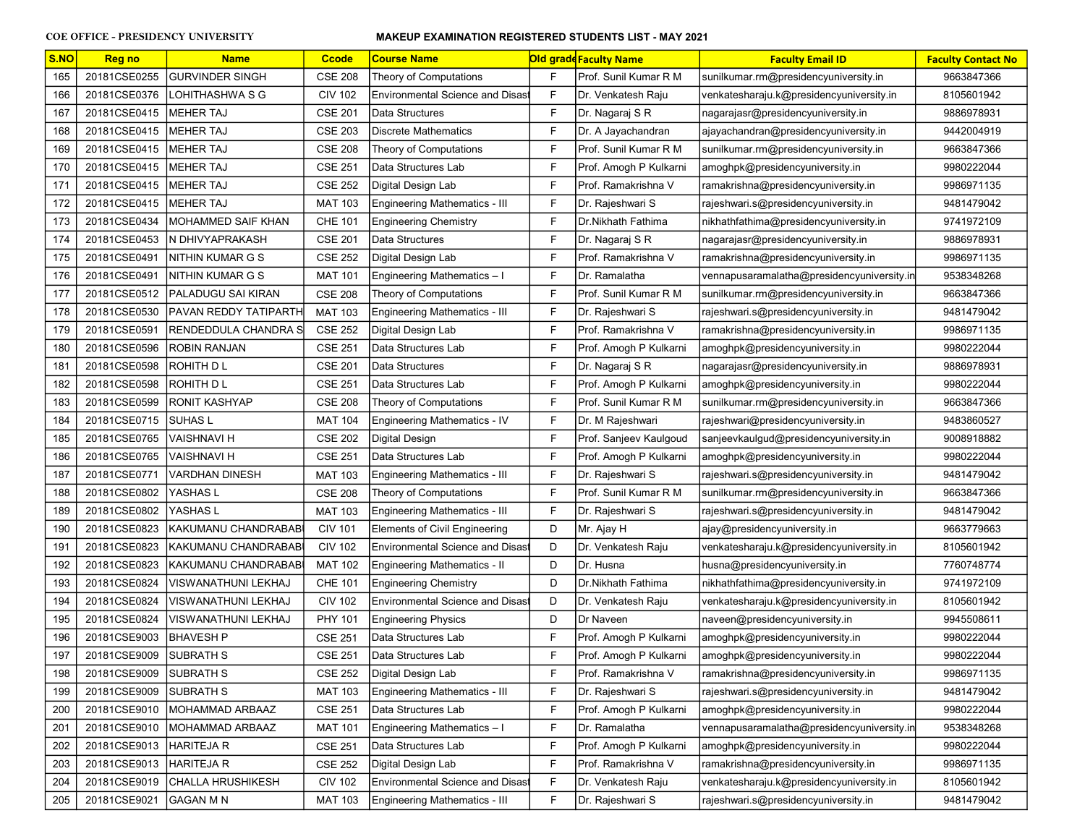| S.NO | <b>Reg no</b> | <b>Name</b>              | <b>Ccode</b>   | <b>Course Name</b>                      |              | <b>Old grade Faculty Name</b> | <b>Faculty Email ID</b>                    | <b>Faculty Contact No</b> |
|------|---------------|--------------------------|----------------|-----------------------------------------|--------------|-------------------------------|--------------------------------------------|---------------------------|
| 165  | 20181CSE0255  | <b>GURVINDER SINGH</b>   | <b>CSE 208</b> | Theory of Computations                  | F            | Prof. Sunil Kumar R M         | sunilkumar.rm@presidencyuniversity.in      | 9663847366                |
| 166  | 20181CSE0376  | LOHITHASHWA S G          | <b>CIV 102</b> | <b>Environmental Science and Disast</b> | F            | Dr. Venkatesh Raju            | venkatesharaju.k@presidencyuniversity.in   | 8105601942                |
| 167  | 20181CSE0415  | <b>IMEHER TAJ</b>        | <b>CSE 201</b> | Data Structures                         | F            | Dr. Nagaraj S R               | nagarajasr@presidencyuniversity.in         | 9886978931                |
| 168  | 20181CSE0415  | <b>IMEHER TAJ</b>        | <b>CSE 203</b> | <b>Discrete Mathematics</b>             | $\mathsf{F}$ | Dr. A Jayachandran            | ajayachandran@presidencyuniversity.in      | 9442004919                |
| 169  | 20181CSE0415  | MEHER TAJ                | <b>CSE 208</b> | Theory of Computations                  | $\mathsf{F}$ | Prof. Sunil Kumar R M         | sunilkumar.rm@presidencyuniversity.in      | 9663847366                |
| 170  | 20181CSE0415  | MEHER TAJ                | <b>CSE 251</b> | Data Structures Lab                     | F            | Prof. Amogh P Kulkarni        | amoghpk@presidencyuniversity.in            | 9980222044                |
| 171  | 20181CSE0415  | <b>IMEHER TAJ</b>        | <b>CSE 252</b> | Digital Design Lab                      | $\mathsf{F}$ | Prof. Ramakrishna V           | ramakrishna@presidencyuniversity.in        | 9986971135                |
| 172  | 20181CSE0415  | <b>MEHER TAJ</b>         | <b>MAT 103</b> | Engineering Mathematics - III           | F            | Dr. Rajeshwari S              | rajeshwari.s@presidencyuniversity.in       | 9481479042                |
| 173  | 20181CSE0434  | MOHAMMED SAIF KHAN       | <b>CHE 101</b> | <b>Engineering Chemistry</b>            | F            | Dr.Nikhath Fathima            | nikhathfathima@presidencyuniversity.in     | 9741972109                |
| 174  | 20181CSE0453  | IN DHIVYAPRAKASH         | <b>CSE 201</b> | Data Structures                         | $\mathsf{F}$ | Dr. Nagaraj S R               | nagarajasr@presidencyuniversity.in         | 9886978931                |
| 175  | 20181CSE0491  | INITHIN KUMAR G S        | <b>CSE 252</b> | Digital Design Lab                      | $\mathsf{F}$ | Prof. Ramakrishna V           | ramakrishna@presidencyuniversity.in        | 9986971135                |
| 176  | 20181CSE0491  | INITHIN KUMAR G S        | <b>MAT 101</b> | Engineering Mathematics - I             | F            | Dr. Ramalatha                 | vennapusaramalatha@presidencyuniversity.in | 9538348268                |
| 177  | 20181CSE0512  | PALADUGU SAI KIRAN       | <b>CSE 208</b> | Theory of Computations                  | F            | Prof. Sunil Kumar R M         | sunilkumar.rm@presidencyuniversity.in      | 9663847366                |
| 178  | 20181CSE0530  | PAVAN REDDY TATIPARTH    | <b>MAT 103</b> | Engineering Mathematics - III           | F            | Dr. Rajeshwari S              | rajeshwari.s@presidencyuniversity.in       | 9481479042                |
| 179  | 20181CSE0591  | RENDEDDULA CHANDRA S     | <b>CSE 252</b> | Digital Design Lab                      | F            | Prof. Ramakrishna V           | ramakrishna@presidencyuniversity.in        | 9986971135                |
| 180  | 20181CSE0596  | <b>ROBIN RANJAN</b>      | <b>CSE 251</b> | Data Structures Lab                     | F            | Prof. Amogh P Kulkarni        | amoghpk@presidencyuniversity.in            | 9980222044                |
| 181  | 20181CSE0598  | ROHITH D L               | <b>CSE 201</b> | Data Structures                         | $\mathsf{F}$ | Dr. Nagaraj S R               | nagarajasr@presidencyuniversity.in         | 9886978931                |
| 182  | 20181CSE0598  | IROHITH D L              | <b>CSE 251</b> | Data Structures Lab                     | $\mathsf{F}$ | Prof. Amogh P Kulkarni        | amoghpk@presidencyuniversity.in            | 9980222044                |
| 183  | 20181CSE0599  | <b>RONIT KASHYAP</b>     | <b>CSE 208</b> | Theory of Computations                  | $\mathsf{F}$ | Prof. Sunil Kumar R M         | sunilkumar.rm@presidencyuniversity.in      | 9663847366                |
| 184  | 20181CSE0715  | ISUHAS L                 | <b>MAT 104</b> | Engineering Mathematics - IV            | $\mathsf{F}$ | Dr. M Rajeshwari              | rajeshwari@presidencyuniversity.in         | 9483860527                |
| 185  | 20181CSE0765  | <b>VAISHNAVI H</b>       | <b>CSE 202</b> | Digital Design                          | $\mathsf{F}$ | Prof. Sanjeev Kaulgoud        | sanjeevkaulgud@presidencyuniversity.in     | 9008918882                |
| 186  | 20181CSE0765  | VAISHNAVI H              | <b>CSE 251</b> | Data Structures Lab                     | $\mathsf{F}$ | Prof. Amogh P Kulkarni        | amoghpk@presidencyuniversity.in            | 9980222044                |
| 187  | 20181CSE0771  | <b>VARDHAN DINESH</b>    | <b>MAT 103</b> | Engineering Mathematics - III           | F            | Dr. Rajeshwari S              | rajeshwari.s@presidencyuniversity.in       | 9481479042                |
| 188  | 20181CSE0802  | YASHAS L                 | <b>CSE 208</b> | Theory of Computations                  | F            | Prof. Sunil Kumar R M         | sunilkumar.rm@presidencyuniversity.in      | 9663847366                |
| 189  | 20181CSE0802  | YASHAS L                 | <b>MAT 103</b> | Engineering Mathematics - III           | F            | Dr. Rajeshwari S              | rajeshwari.s@presidencyuniversity.in       | 9481479042                |
| 190  | 20181CSE0823  | KAKUMANU CHANDRABAB      | <b>CIV 101</b> | Elements of Civil Engineering           | D            | Mr. Ajay H                    | ajay@presidencyuniversity.in               | 9663779663                |
| 191  | 20181CSE0823  | KAKUMANU CHANDRABAB      | <b>CIV 102</b> | <b>Environmental Science and Disast</b> | D            | Dr. Venkatesh Raju            | venkatesharaju.k@presidencyuniversity.in   | 8105601942                |
| 192  | 20181CSE0823  | KAKUMANU CHANDRABABI     | <b>MAT 102</b> | <b>Engineering Mathematics - II</b>     | D            | Dr. Husna                     | husna@presidencyuniversity.in              | 7760748774                |
| 193  | 20181CSE0824  | VISWANATHUNI LEKHAJ      | <b>CHE 101</b> | <b>Engineering Chemistry</b>            | D            | Dr.Nikhath Fathima            | nikhathfathima@presidencyuniversity.in     | 9741972109                |
| 194  | 20181CSE0824  | VISWANATHUNI LEKHAJ      | <b>CIV 102</b> | <b>Environmental Science and Disas</b>  | D            | Dr. Venkatesh Raju            | venkatesharaju.k@presidencyuniversity.in   | 8105601942                |
| 195  | 20181CSE0824  | VISWANATHUNI LEKHAJ      | <b>PHY 101</b> | <b>Engineering Physics</b>              | D            | Dr Naveen                     | naveen@presidencyuniversity.in             | 9945508611                |
| 196  | 20181CSE9003  | BHAVESH P                | <b>CSE 251</b> | Data Structures Lab                     | F            | Prof. Amogh P Kulkarni        | amoghpk@presidencyuniversity.in            | 9980222044                |
| 197  | 20181CSE9009  | ISUBRATH S               | <b>CSE 251</b> | Data Structures Lab                     | F            | Prof. Amogh P Kulkarni        | amoghpk@presidencyuniversity.in            | 9980222044                |
| 198  | 20181CSE9009  | SUBRATH S                | <b>CSE 252</b> | Digital Design Lab                      | F            | Prof. Ramakrishna V           | ramakrishna@presidencyuniversity.in        | 9986971135                |
| 199  | 20181CSE9009  | <b>SUBRATH S</b>         | <b>MAT 103</b> | Engineering Mathematics - III           | $\mathsf{F}$ | Dr. Rajeshwari S              | rajeshwari.s@presidencyuniversity.in       | 9481479042                |
| 200  | 20181CSE9010  | MOHAMMAD ARBAAZ          | <b>CSE 251</b> | Data Structures Lab                     | F            | Prof. Amogh P Kulkarni        | amoghpk@presidencyuniversity.in            | 9980222044                |
| 201  | 20181CSE9010  | MOHAMMAD ARBAAZ          | <b>MAT 101</b> | Engineering Mathematics - I             | F            | Dr. Ramalatha                 | vennapusaramalatha@presidencyuniversity.in | 9538348268                |
| 202  | 20181CSE9013  | HARITEJA R               | <b>CSE 251</b> | Data Structures Lab                     | F            | Prof. Amogh P Kulkarni        | amoghpk@presidencyuniversity.in            | 9980222044                |
| 203  | 20181CSE9013  | HARITEJA R               | <b>CSE 252</b> | Digital Design Lab                      | F            | Prof. Ramakrishna V           | ramakrishna@presidencyuniversity.in        | 9986971135                |
| 204  | 20181CSE9019  | <b>CHALLA HRUSHIKESH</b> | <b>CIV 102</b> | <b>Environmental Science and Disast</b> | F            | Dr. Venkatesh Raju            | venkatesharaju.k@presidencyuniversity.in   | 8105601942                |
| 205  | 20181CSE9021  | GAGAN M N                | <b>MAT 103</b> | Engineering Mathematics - III           | F            | Dr. Rajeshwari S              | rajeshwari.s@presidencyuniversity.in       | 9481479042                |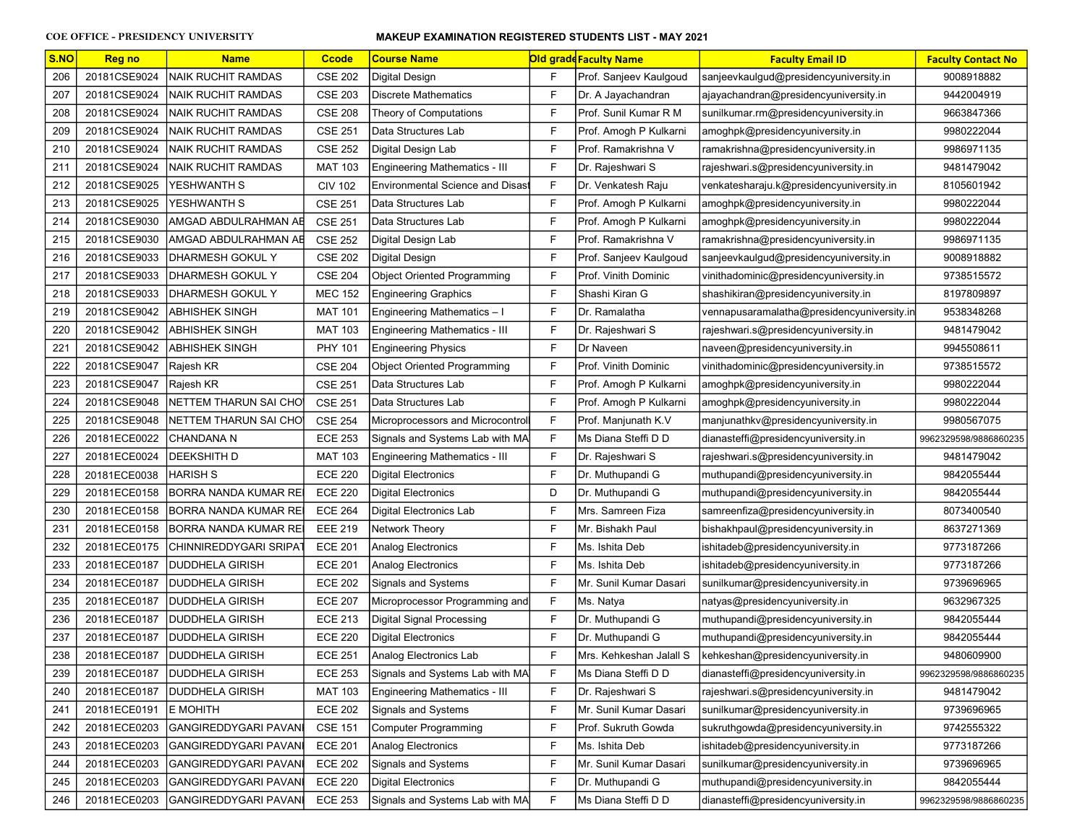| S.NO | <b>Reg no</b> | <b>Name</b>                        | <b>Ccode</b>   | <b>Course Name</b>                     |              | Old gradd Faculty Name  | <b>Faculty Email ID</b>                    | <b>Faculty Contact No</b> |
|------|---------------|------------------------------------|----------------|----------------------------------------|--------------|-------------------------|--------------------------------------------|---------------------------|
| 206  | 20181CSE9024  | NAIK RUCHIT RAMDAS                 | <b>CSE 202</b> | Digital Design                         | F            | Prof. Sanjeev Kaulgoud  | sanjeevkaulgud@presidencyuniversity.in     | 9008918882                |
| 207  | 20181CSE9024  | <b>NAIK RUCHIT RAMDAS</b>          | <b>CSE 203</b> | <b>Discrete Mathematics</b>            | F            | Dr. A Jayachandran      | ajayachandran@presidencyuniversity.in      | 9442004919                |
| 208  | 20181CSE9024  | <b>NAIK RUCHIT RAMDAS</b>          | <b>CSE 208</b> | Theory of Computations                 | F            | Prof. Sunil Kumar R M   | sunilkumar.rm@presidencyuniversity.in      | 9663847366                |
| 209  | 20181CSE9024  | INAIK RUCHIT RAMDAS                | <b>CSE 251</b> | Data Structures Lab                    | F            | Prof. Amogh P Kulkarni  | amoghpk@presidencyuniversity.in            | 9980222044                |
| 210  | 20181CSE9024  | <b>NAIK RUCHIT RAMDAS</b>          | <b>CSE 252</b> | Digital Design Lab                     | F            | Prof. Ramakrishna V     | ramakrishna@presidencyuniversity.in        | 9986971135                |
| 211  | 20181CSE9024  | INAIK RUCHIT RAMDAS                | <b>MAT 103</b> | Engineering Mathematics - III          | $\mathsf{F}$ | Dr. Rajeshwari S        | rajeshwari.s@presidencyuniversity.in       | 9481479042                |
| 212  | 20181CSE9025  | YESHWANTH S                        | <b>CIV 102</b> | <b>Environmental Science and Disas</b> | F            | Dr. Venkatesh Raju      | venkatesharaju.k@presidencyuniversity.in   | 8105601942                |
| 213  | 20181CSE9025  | YESHWANTH S                        | <b>CSE 251</b> | Data Structures Lab                    | $\mathsf F$  | Prof. Amogh P Kulkarni  | amoghpk@presidencyuniversity.in            | 9980222044                |
| 214  | 20181CSE9030  | AMGAD ABDULRAHMAN AE               | <b>CSE 251</b> | Data Structures Lab                    | $\mathsf{F}$ | Prof. Amogh P Kulkarni  | amoghpk@presidencyuniversity.in            | 9980222044                |
| 215  | 20181CSE9030  | AMGAD ABDULRAHMAN AE               | <b>CSE 252</b> | Digital Design Lab                     | F            | Prof. Ramakrishna V     | ramakrishna@presidencyuniversity.in        | 9986971135                |
| 216  | 20181CSE9033  | DHARMESH GOKUL Y                   | <b>CSE 202</b> | Digital Design                         | $\mathsf{F}$ | Prof. Sanjeev Kaulgoud  | sanjeevkaulgud@presidencyuniversity.in     | 9008918882                |
| 217  | 20181CSE9033  | DHARMESH GOKUL Y                   | <b>CSE 204</b> | <b>Object Oriented Programming</b>     | F            | Prof. Vinith Dominic    | vinithadominic@presidencyuniversity.in     | 9738515572                |
| 218  | 20181CSE9033  | <b>DHARMESH GOKUL Y</b>            | <b>MEC 152</b> | <b>Engineering Graphics</b>            | F            | Shashi Kiran G          | shashikiran@presidencyuniversity.in        | 8197809897                |
| 219  | 20181CSE9042  | <b>ABHISHEK SINGH</b>              | <b>MAT 101</b> | Engineering Mathematics - I            | F            | Dr. Ramalatha           | vennapusaramalatha@presidencyuniversity.in | 9538348268                |
| 220  | 20181CSE9042  | <b>ABHISHEK SINGH</b>              | <b>MAT 103</b> | Engineering Mathematics - III          | F            | Dr. Rajeshwari S        | rajeshwari.s@presidencyuniversity.in       | 9481479042                |
| 221  | 20181CSE9042  | <b>ABHISHEK SINGH</b>              | <b>PHY 101</b> | <b>Engineering Physics</b>             | F            | Dr Naveen               | naveen@presidencyuniversity.in             | 9945508611                |
| 222  | 20181CSE9047  | Rajesh KR                          | <b>CSE 204</b> | <b>Object Oriented Programming</b>     | F            | Prof. Vinith Dominic    | vinithadominic@presidencyuniversity.in     | 9738515572                |
| 223  | 20181CSE9047  | Rajesh KR                          | <b>CSE 251</b> | Data Structures Lab                    | $\mathsf F$  | Prof. Amogh P Kulkarni  | amoghpk@presidencyuniversity.in            | 9980222044                |
| 224  | 20181CSE9048  | NETTEM THARUN SAI CHO              | <b>CSE 251</b> | Data Structures Lab                    | $\mathsf{F}$ | Prof. Amogh P Kulkarni  | amoghpk@presidencyuniversity.in            | 9980222044                |
| 225  | 20181CSE9048  | NETTEM THARUN SAI CHO              | <b>CSE 254</b> | Microprocessors and Microcontrol       | F            | Prof. Manjunath K.V     | manjunathkv@presidencyuniversity.in        | 9980567075                |
| 226  | 20181ECE0022  | CHANDANA N                         | <b>ECE 253</b> | Signals and Systems Lab with MA        | $\mathsf F$  | Ms Diana Steffi D D     | dianasteffi@presidencyuniversity.in        | 9962329598/9886860235     |
| 227  | 20181ECE0024  | DEEKSHITH D                        | MAT 103        | Engineering Mathematics - III          | F            | Dr. Rajeshwari S        | rajeshwari.s@presidencyuniversity.in       | 9481479042                |
| 228  | 20181ECE0038  | HARISH S                           | <b>ECE 220</b> | Digital Electronics                    | $\mathsf F$  | Dr. Muthupandi G        | muthupandi@presidencyuniversity.in         | 9842055444                |
| 229  | 20181ECE0158  | BORRA NANDA KUMAR RE               | <b>ECE 220</b> | Digital Electronics                    | D            | Dr. Muthupandi G        | muthupandi@presidencyuniversity.in         | 9842055444                |
| 230  | 20181ECE0158  | BORRA NANDA KUMAR REI              | <b>ECE 264</b> | Digital Electronics Lab                | F            | Mrs. Samreen Fiza       | samreenfiza@presidencyuniversity.in        | 8073400540                |
| 231  | 20181ECE0158  | BORRA NANDA KUMAR REI              | <b>EEE 219</b> | Network Theory                         | F            | Mr. Bishakh Paul        | bishakhpaul@presidencyuniversity.in        | 8637271369                |
| 232  | 20181ECE0175  | CHINNIREDDYGARI SRIPA <sup>-</sup> | <b>ECE 201</b> | Analog Electronics                     | F            | Ms. Ishita Deb          | ishitadeb@presidencyuniversity.in          | 9773187266                |
| 233  | 20181ECE0187  | DUDDHELA GIRISH                    | <b>ECE 201</b> | Analog Electronics                     | $\mathsf{F}$ | Ms. Ishita Deb          | ishitadeb@presidencyuniversity.in          | 9773187266                |
| 234  | 20181ECE0187  | DUDDHELA GIRISH                    | <b>ECE 202</b> | <b>Signals and Systems</b>             | $\mathsf{F}$ | Mr. Sunil Kumar Dasari  | sunilkumar@presidencyuniversity.in         | 9739696965                |
| 235  | 20181ECE0187  | DUDDHELA GIRISH                    | <b>ECE 207</b> | Microprocessor Programming and         | F            | Ms. Natya               | natyas@presidencyuniversity.in             | 9632967325                |
| 236  | 20181ECE0187  | DUDDHELA GIRISH                    | <b>ECE 213</b> | Digital Signal Processing              | F            | Dr. Muthupandi G        | muthupandi@presidencyuniversity.in         | 9842055444                |
| 237  | 20181ECE0187  | DUDDHELA GIRISH                    | <b>ECE 220</b> | <b>Digital Electronics</b>             | F            | Dr. Muthupandi G        | muthupandi@presidencyuniversity.in         | 9842055444                |
| 238  | 20181ECE0187  | <b>JDUDDHELA GIRISH</b>            | <b>ECE 251</b> | Analog Electronics Lab                 | F            | Mrs. Kehkeshan Jalall S | kehkeshan@presidencyuniversity.in          | 9480609900                |
| 239  | 20181ECE0187  | <b>DUDDHELA GIRISH</b>             | <b>ECE 253</b> | Signals and Systems Lab with MA        | $\mathsf F$  | Ms Diana Steffi D D     | dianasteffi@presidencyuniversity.in        | 9962329598/9886860235     |
| 240  | 20181ECE0187  | <b>DUDDHELA GIRISH</b>             | <b>MAT 103</b> | <b>Engineering Mathematics - III</b>   | F            | Dr. Rajeshwari S        | rajeshwari.s@presidencyuniversity.in       | 9481479042                |
| 241  | 20181ECE0191  | IE MOHITH                          | <b>ECE 202</b> | Signals and Systems                    | $\mathsf{F}$ | Mr. Sunil Kumar Dasari  | sunilkumar@presidencyuniversity.in         | 9739696965                |
| 242  | 20181ECE0203  | GANGIREDDYGARI PAVANI              | <b>CSE 151</b> | Computer Programming                   | F            | Prof. Sukruth Gowda     | sukruthgowda@presidencyuniversity.in       | 9742555322                |
| 243  | 20181ECE0203  | GANGIREDDYGARI PAVANI              | <b>ECE 201</b> | Analog Electronics                     | F            | Ms. Ishita Deb          | ishitadeb@presidencyuniversity.in          | 9773187266                |
| 244  | 20181ECE0203  | GANGIREDDYGARI PAVANI              | <b>ECE 202</b> | Signals and Systems                    | F            | Mr. Sunil Kumar Dasari  | sunilkumar@presidencyuniversity.in         | 9739696965                |
| 245  | 20181ECE0203  | GANGIREDDYGARI PAVANI              | <b>ECE 220</b> | <b>Digital Electronics</b>             | F            | Dr. Muthupandi G        | muthupandi@presidencyuniversity.in         | 9842055444                |
| 246  | 20181ECE0203  | GANGIREDDYGARI PAVANI              | <b>ECE 253</b> | Signals and Systems Lab with MA        | F            | Ms Diana Steffi D D     | dianasteffi@presidencyuniversity.in        | 9962329598/9886860235     |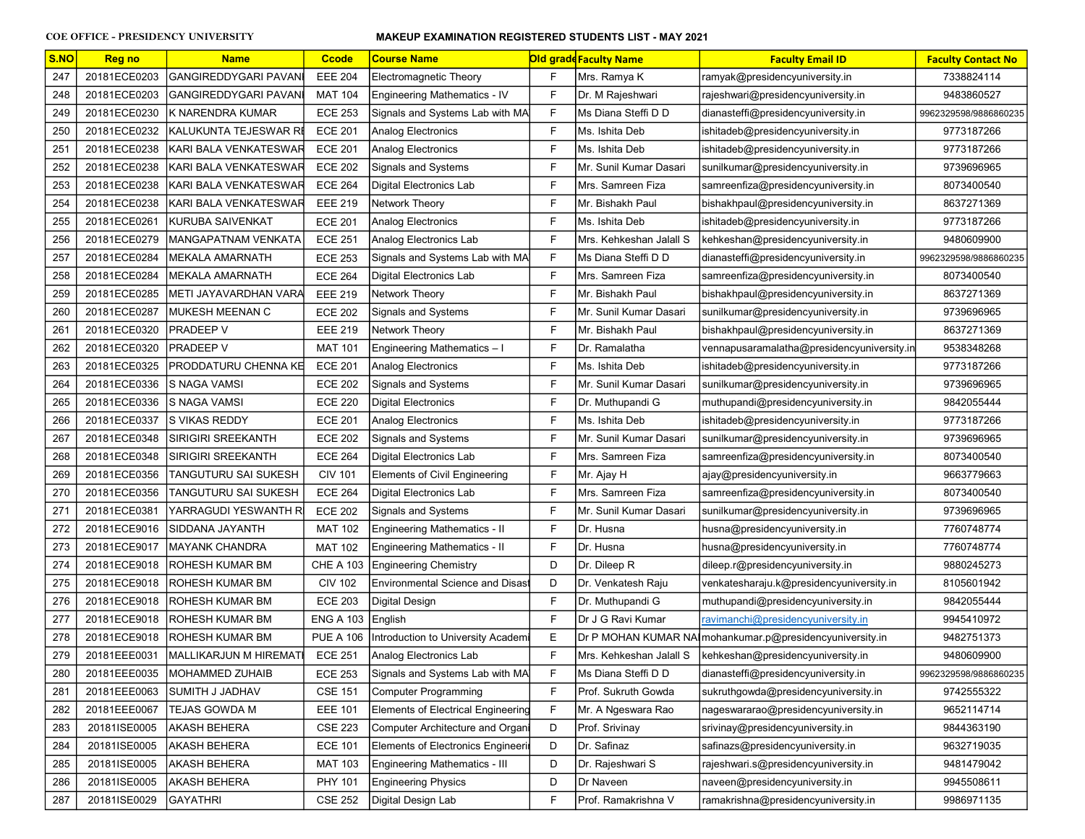| S.NO | <b>Reg no</b> | <b>Name</b>                    | <b>Ccode</b>     | <b>Course Name</b>                        |   | Old gradd Faculty Name  | <b>Faculty Email ID</b>                                   | <b>Faculty Contact No</b> |
|------|---------------|--------------------------------|------------------|-------------------------------------------|---|-------------------------|-----------------------------------------------------------|---------------------------|
| 247  | 20181ECE0203  | GANGIREDDYGARI PAVANI          | <b>EEE 204</b>   | Electromagnetic Theory                    | F | Mrs. Ramya K            | ramyak@presidencyuniversity.in                            | 7338824114                |
| 248  | 20181ECE0203  | GANGIREDDYGARI PAVANI          | <b>MAT 104</b>   | Engineering Mathematics - IV              | F | Dr. M Rajeshwari        | rajeshwari@presidencyuniversity.in                        | 9483860527                |
| 249  | 20181ECE0230  | K NARENDRA KUMAR               | <b>ECE 253</b>   | Signals and Systems Lab with MA           | F | Ms Diana Steffi D D     | dianasteffi@presidencyuniversity.in                       | 9962329598/9886860235     |
| 250  | 20181ECE0232  | KALUKUNTA TEJESWAR RI          | <b>ECE 201</b>   | Analog Electronics                        | F | Ms. Ishita Deb          | ishitadeb@presidencyuniversity.in                         | 9773187266                |
| 251  | 20181ECE0238  | KARI BALA VENKATESWAR          | <b>ECE 201</b>   | Analog Electronics                        | F | Ms. Ishita Deb          | ishitadeb@presidencyuniversity.in                         | 9773187266                |
| 252  | 20181ECE0238  | KARI BALA VENKATESWAR          | <b>ECE 202</b>   | Signals and Systems                       | F | Mr. Sunil Kumar Dasari  | sunilkumar@presidencyuniversity.in                        | 9739696965                |
| 253  | 20181ECE0238  | KARI BALA VENKATESWAR          | <b>ECE 264</b>   | Digital Electronics Lab                   | F | Mrs. Samreen Fiza       | samreenfiza@presidencyuniversity.in                       | 8073400540                |
| 254  | 20181ECE0238  | KARI BALA VENKATESWAR          | <b>EEE 219</b>   | Network Theory                            | F | Mr. Bishakh Paul        | bishakhpaul@presidencyuniversity.in                       | 8637271369                |
| 255  | 20181ECE0261  | KURUBA SAIVENKAT               | <b>ECE 201</b>   | Analog Electronics                        | E | Ms. Ishita Deb          | ishitadeb@presidencyuniversity.in                         | 9773187266                |
| 256  | 20181ECE0279  | MANGAPATNAM VENKATA            | <b>ECE 251</b>   | Analog Electronics Lab                    | F | Mrs. Kehkeshan Jalall S | kehkeshan@presidencyuniversity.in                         | 9480609900                |
| 257  | 20181ECE0284  | MEKALA AMARNATH                | <b>ECE 253</b>   | Signals and Systems Lab with MA           | F | Ms Diana Steffi D D     | dianasteffi@presidencyuniversity.in                       | 9962329598/9886860235     |
| 258  | 20181ECE0284  | MEKALA AMARNATH                | <b>ECE 264</b>   | Digital Electronics Lab                   | F | Mrs. Samreen Fiza       | samreenfiza@presidencyuniversity.in                       | 8073400540                |
| 259  | 20181ECE0285  | METI JAYAVARDHAN VARA          | <b>EEE 219</b>   | Network Theory                            | F | Mr. Bishakh Paul        | bishakhpaul@presidencyuniversity.in                       | 8637271369                |
| 260  | 20181ECE0287  | <b>IMUKESH MEENAN C</b>        | <b>ECE 202</b>   | Signals and Systems                       | F | Mr. Sunil Kumar Dasari  | sunilkumar@presidencyuniversity.in                        | 9739696965                |
| 261  | 20181ECE0320  | <b>PRADEEP V</b>               | <b>EEE 219</b>   | Network Theory                            | F | Mr. Bishakh Paul        | bishakhpaul@presidencyuniversity.in                       | 8637271369                |
| 262  | 20181ECE0320  | <b>PRADEEP V</b>               | <b>MAT 101</b>   | Engineering Mathematics - I               | F | Dr. Ramalatha           | vennapusaramalatha@presidencyuniversity.in                | 9538348268                |
| 263  | 20181ECE0325  | PRODDATURU CHENNA KE           | <b>ECE 201</b>   | <b>Analog Electronics</b>                 | F | Ms. Ishita Deb          | ishitadeb@presidencyuniversity.in                         | 9773187266                |
| 264  | 20181ECE0336  | IS NAGA VAMSI                  | <b>ECE 202</b>   | Signals and Systems                       | F | Mr. Sunil Kumar Dasari  | sunilkumar@presidencyuniversity.in                        | 9739696965                |
| 265  | 20181ECE0336  | IS NAGA VAMSI                  | <b>ECE 220</b>   | <b>Digital Electronics</b>                | F | Dr. Muthupandi G        | muthupandi@presidencyuniversity.in                        | 9842055444                |
| 266  | 20181ECE0337  | <b>S VIKAS REDDY</b>           | <b>ECE 201</b>   | Analog Electronics                        | F | Ms. Ishita Deb          | ishitadeb@presidencyuniversity.in                         | 9773187266                |
| 267  | 20181ECE0348  | SIRIGIRI SREEKANTH             | <b>ECE 202</b>   | Signals and Systems                       | F | Mr. Sunil Kumar Dasari  | sunilkumar@presidencyuniversity.in                        | 9739696965                |
| 268  | 20181ECE0348  | SIRIGIRI SREEKANTH             | <b>ECE 264</b>   | Digital Electronics Lab                   | F | Mrs. Samreen Fiza       | samreenfiza@presidencyuniversity.in                       | 8073400540                |
| 269  | 20181ECE0356  | TANGUTURU SAI SUKESH           | <b>CIV 101</b>   | <b>Elements of Civil Engineering</b>      | F | Mr. Ajay H              | ajay@presidencyuniversity.in                              | 9663779663                |
| 270  | 20181ECE0356  | TANGUTURU SAI SUKESH           | <b>ECE 264</b>   | Digital Electronics Lab                   | F | Mrs. Samreen Fiza       | samreenfiza@presidencyuniversity.in                       | 8073400540                |
| 271  | 20181ECE0381  | YARRAGUDI YESWANTH R           | <b>ECE 202</b>   | Signals and Systems                       | F | Mr. Sunil Kumar Dasari  | sunilkumar@presidencyuniversity.in                        | 9739696965                |
| 272  | 20181ECE9016  | SIDDANA JAYANTH                | <b>MAT 102</b>   | Engineering Mathematics - II              | F | Dr. Husna               | husna@presidencyuniversity.in                             | 7760748774                |
| 273  | 20181ECE9017  | <b>IMAYANK CHANDRA</b>         | <b>MAT 102</b>   | Engineering Mathematics - II              | F | Dr. Husna               | husna@presidencyuniversity.in                             | 7760748774                |
| 274  | 20181ECE9018  | ROHESH KUMAR BM                | <b>CHE A 103</b> | <b>Engineering Chemistry</b>              | D | Dr. Dileep R            | dileep.r@presidencyuniversity.in                          | 9880245273                |
| 275  | 20181ECE9018  | ROHESH KUMAR BM                | <b>CIV 102</b>   | <b>Environmental Science and Disas</b>    | D | Dr. Venkatesh Raju      | venkatesharaju.k@presidencyuniversity.in                  | 8105601942                |
| 276  | 20181ECE9018  | <b>ROHESH KUMAR BM</b>         | <b>ECE 203</b>   | <b>Digital Design</b>                     | F | Dr. Muthupandi G        | muthupandi@presidencyuniversity.in                        | 9842055444                |
| 277  | 20181ECE9018  | ROHESH KUMAR BM                | <b>ENG A 103</b> | English                                   | F | Dr J G Ravi Kumar       | ravimanchi@presidencyuniversity.in                        | 9945410972                |
| 278  | 20181ECE9018  | ROHESH KUMAR BM                | <b>PUE A 106</b> | Introduction to University Academ         | E |                         | Dr P MOHAN KUMAR NAI mohankumar.p@presidencyuniversity.in | 9482751373                |
| 279  | 20181EEE0031  | <b>IMALLIKARJUN M HIREMATI</b> | <b>ECE 251</b>   | Analog Electronics Lab                    | F | Mrs. Kehkeshan Jalall S | kehkeshan@presidencyuniversity.in                         | 9480609900                |
| 280  | 20181EEE0035  | MOHAMMED ZUHAIB                | <b>ECE 253</b>   | Signals and Systems Lab with MA           | F | Ms Diana Steffi D D     | dianasteffi@presidencyuniversity.in                       | 9962329598/9886860235     |
| 281  | 20181EEE0063  | SUMITH J JADHAV                | <b>CSE 151</b>   | Computer Programming                      | F | Prof. Sukruth Gowda     | sukruthgowda@presidencyuniversity.in                      | 9742555322                |
| 282  | 20181EEE0067  | <b>TEJAS GOWDA M</b>           | <b>EEE 101</b>   | <b>Elements of Electrical Engineering</b> | F | Mr. A Ngeswara Rao      | nageswararao@presidencyuniversity.in                      | 9652114714                |
| 283  | 20181ISE0005  | AKASH BEHERA                   | <b>CSE 223</b>   | Computer Architecture and Organi          | D | Prof. Srivinay          | srivinay@presidencyuniversity.in                          | 9844363190                |
| 284  | 20181ISE0005  | <b>AKASH BEHERA</b>            | <b>ECE 101</b>   | <b>Elements of Electronics Engineerin</b> | D | Dr. Safinaz             | safinazs@presidencyuniversity.in                          | 9632719035                |
| 285  | 20181ISE0005  | <b>AKASH BEHERA</b>            | <b>MAT 103</b>   | Engineering Mathematics - III             | D | Dr. Rajeshwari S        | rajeshwari.s@presidencyuniversity.in                      | 9481479042                |
| 286  | 20181ISE0005  | <b>AKASH BEHERA</b>            | PHY 101          | <b>Engineering Physics</b>                | D | Dr Naveen               | naveen@presidencyuniversity.in                            | 9945508611                |
| 287  | 20181ISE0029  | GAYATHRI                       | <b>CSE 252</b>   | Digital Design Lab                        | F | Prof. Ramakrishna V     | ramakrishna@presidencyuniversity.in                       | 9986971135                |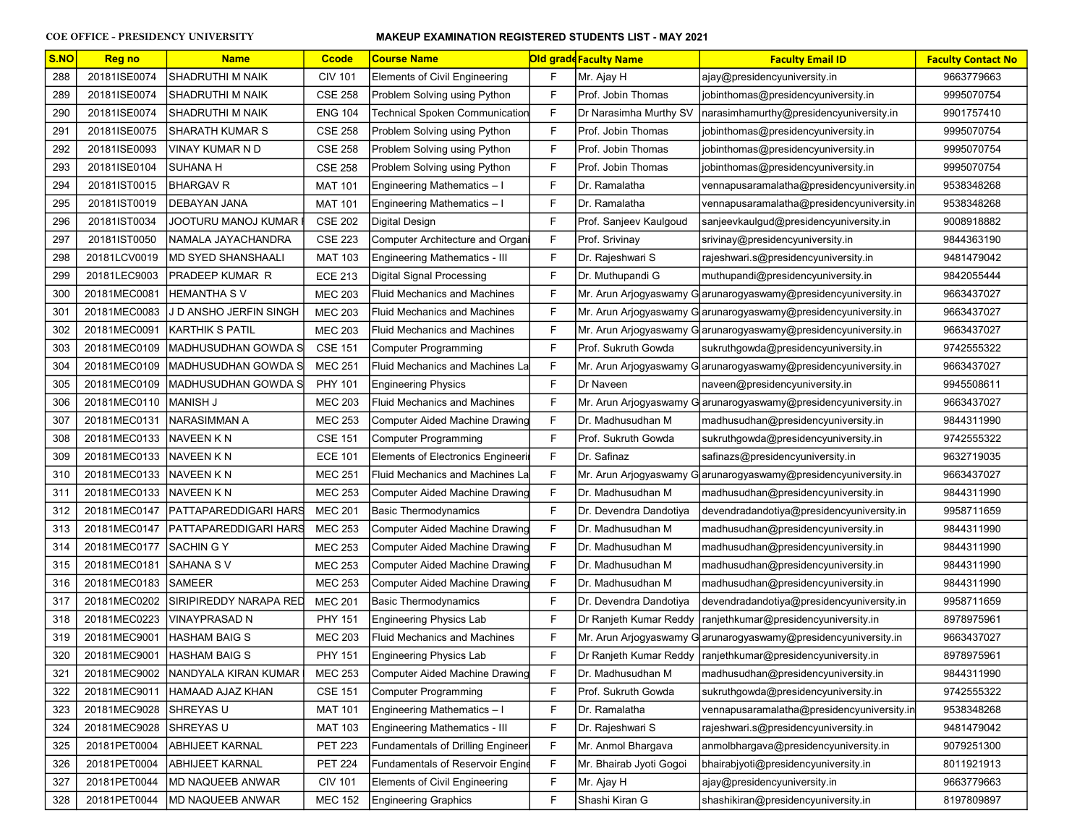| S.NO | <b>Reg no</b> | <b>Name</b>               | <b>Ccode</b>   | <b>Course Name</b>                        |              | <b>Old grade Faculty Name</b> | <b>Faculty Email ID</b>                                         | <b>Faculty Contact No</b> |
|------|---------------|---------------------------|----------------|-------------------------------------------|--------------|-------------------------------|-----------------------------------------------------------------|---------------------------|
| 288  | 20181ISE0074  | SHADRUTHI M NAIK          | <b>CIV 101</b> | <b>Elements of Civil Engineering</b>      | F            | Mr. Ajay H                    | ajay@presidencyuniversity.in                                    | 9663779663                |
| 289  | 20181ISE0074  | <b>SHADRUTHI M NAIK</b>   | <b>CSE 258</b> | Problem Solving using Python              | F            | Prof. Jobin Thomas            | jobinthomas@presidencyuniversity.in                             | 9995070754                |
| 290  | 20181ISE0074  | <b>SHADRUTHI M NAIK</b>   | <b>ENG 104</b> | Technical Spoken Communication            | F            | Dr Narasimha Murthy SV        | narasimhamurthy@presidencyuniversity.in                         | 9901757410                |
| 291  | 20181ISE0075  | <b>SHARATH KUMAR S</b>    | <b>CSE 258</b> | Problem Solving using Python              | $\mathsf{F}$ | Prof. Jobin Thomas            | jobinthomas@presidencyuniversity.in                             | 9995070754                |
| 292  | 20181ISE0093  | VINAY KUMAR N D           | <b>CSE 258</b> | Problem Solving using Python              | $\mathsf{F}$ | Prof. Jobin Thomas            | jobinthomas@presidencyuniversity.in                             | 9995070754                |
| 293  | 20181ISE0104  | <b>SUHANA H</b>           | <b>CSE 258</b> | Problem Solving using Python              | F            | Prof. Jobin Thomas            | jobinthomas@presidencyuniversity.in                             | 9995070754                |
| 294  | 20181IST0015  | <b>BHARGAV R</b>          | MAT 101        | Engineering Mathematics - I               | F            | Dr. Ramalatha                 | vennapusaramalatha@presidencyuniversity.in                      | 9538348268                |
| 295  | 20181IST0019  | <b>DEBAYAN JANA</b>       | <b>MAT 101</b> | Engineering Mathematics - I               | F            | Dr. Ramalatha                 | vennapusaramalatha@presidencyuniversity.in                      | 9538348268                |
| 296  | 20181IST0034  | JOOTURU MANOJ KUMAR       | <b>CSE 202</b> | Digital Design                            | $\mathsf F$  | Prof. Sanjeev Kaulgoud        | sanjeevkaulgud@presidencyuniversity.in                          | 9008918882                |
| 297  | 20181IST0050  | NAMALA JAYACHANDRA        | <b>CSE 223</b> | <b>Computer Architecture and Organi</b>   | $\mathsf F$  | Prof. Srivinay                | srivinay@presidencyuniversity.in                                | 9844363190                |
| 298  | 20181LCV0019  | <b>MD SYED SHANSHAALI</b> | <b>MAT 103</b> | Engineering Mathematics - III             | F            | Dr. Rajeshwari S              | rajeshwari.s@presidencyuniversity.in                            | 9481479042                |
| 299  | 20181LEC9003  | PRADEEP KUMAR R           | <b>ECE 213</b> | Digital Signal Processing                 | $\mathsf{F}$ | Dr. Muthupandi G              | muthupandi@presidencyuniversity.in                              | 9842055444                |
| 300  | 20181MEC0081  | <b>HEMANTHA SV</b>        | <b>MEC 203</b> | <b>Fluid Mechanics and Machines</b>       | F            |                               | Mr. Arun Arjogyaswamy Garunarogyaswamy@presidencyuniversity.in  | 9663437027                |
| 301  | 20181MEC0083  | J D ANSHO JERFIN SINGH    | <b>MEC 203</b> | <b>Fluid Mechanics and Machines</b>       | F            |                               | Mr. Arun Arjogyaswamy G arunarogyaswamy@presidencyuniversity.in | 9663437027                |
| 302  | 20181MEC0091  | <b>KARTHIK S PATIL</b>    | <b>MEC 203</b> | Fluid Mechanics and Machines              | $\mathsf{F}$ |                               | Mr. Arun Arjogyaswamy Garunarogyaswamy@presidencyuniversity.in  | 9663437027                |
| 303  | 20181MEC0109  | MADHUSUDHAN GOWDA S       | <b>CSE 151</b> | <b>Computer Programming</b>               | F            | Prof. Sukruth Gowda           | sukruthgowda@presidencyuniversity.in                            | 9742555322                |
| 304  | 20181MEC0109  | MADHUSUDHAN GOWDA S       | <b>MEC 251</b> | <b>Fluid Mechanics and Machines La</b>    | $\mathsf F$  |                               | Mr. Arun Arjogyaswamy Garunarogyaswamy@presidencyuniversity.in  | 9663437027                |
| 305  | 20181MEC0109  | MADHUSUDHAN GOWDA S       | <b>PHY 101</b> | <b>Engineering Physics</b>                | $\mathsf{F}$ | Dr Naveen                     | naveen@presidencyuniversity.in                                  | 9945508611                |
| 306  | 20181MEC0110  | IMANISH J                 | <b>MEC 203</b> | <b>Fluid Mechanics and Machines</b>       | $\mathsf{F}$ |                               | Mr. Arun Arjogyaswamy G arunarogyaswamy@presidencyuniversity.in | 9663437027                |
| 307  | 20181MEC0131  | NARASIMMAN A              | <b>MEC 253</b> | Computer Aided Machine Drawing            | $\mathsf{F}$ | Dr. Madhusudhan M             | madhusudhan@presidencyuniversity.in                             | 9844311990                |
| 308  | 20181MEC0133  | <b>NAVEEN K N</b>         | <b>CSE 151</b> | <b>Computer Programming</b>               | $\mathsf{F}$ | Prof. Sukruth Gowda           | sukruthgowda@presidencyuniversity.in                            | 9742555322                |
| 309  | 20181MEC0133  | NAVEEN K N                | <b>ECE 101</b> | <b>Elements of Electronics Engineerin</b> | F            | Dr. Safinaz                   | safinazs@presidencyuniversity.in                                | 9632719035                |
| 310  | 20181MEC0133  | NAVEEN K N                | <b>MEC 251</b> | Fluid Mechanics and Machines La           | F            |                               | Mr. Arun Arjogyaswamy Garunarogyaswamy@presidencyuniversity.in  | 9663437027                |
| 311  | 20181MEC0133  | <b>NAVEEN KN</b>          | <b>MEC 253</b> | Computer Aided Machine Drawing            | $\mathsf F$  | Dr. Madhusudhan M             | madhusudhan@presidencyuniversity.in                             | 9844311990                |
| 312  | 20181MEC0147  | PATTAPAREDDIGARI HARS     | <b>MEC 201</b> | <b>Basic Thermodynamics</b>               | $\mathsf F$  | Dr. Devendra Dandotiya        | devendradandotiya@presidencyuniversity.in                       | 9958711659                |
| 313  | 20181MEC0147  | PATTAPAREDDIGARI HARS     | <b>MEC 253</b> | Computer Aided Machine Drawing            | F            | Dr. Madhusudhan M             | madhusudhan@presidencyuniversity.in                             | 9844311990                |
| 314  | 20181MEC0177  | SACHIN G Y                | <b>MEC 253</b> | Computer Aided Machine Drawing            | $\mathsf F$  | Dr. Madhusudhan M             | madhusudhan@presidencyuniversity.in                             | 9844311990                |
| 315  | 20181MEC0181  | SAHANA S V                | <b>MEC 253</b> | Computer Aided Machine Drawing            | F            | Dr. Madhusudhan M             | madhusudhan@presidencyuniversity.in                             | 9844311990                |
| 316  | 20181MEC0183  | <b>SAMEER</b>             | <b>MEC 253</b> | Computer Aided Machine Drawing            | $\mathsf F$  | Dr. Madhusudhan M             | madhusudhan@presidencyuniversity.in                             | 9844311990                |
| 317  | 20181MEC0202  | SIRIPIREDDY NARAPA RED    | <b>MEC 201</b> | <b>Basic Thermodynamics</b>               | $\mathsf{F}$ | Dr. Devendra Dandotiya        | devendradandotiya@presidencyuniversity.in                       | 9958711659                |
| 318  | 20181MEC0223  | <b>VINAYPRASAD N</b>      | <b>PHY 151</b> | Engineering Physics Lab                   | F            | Dr Ranjeth Kumar Reddy        | ranjethkumar@presidencyuniversity.in                            | 8978975961                |
| 319  | 20181MEC9001  | <b>HASHAM BAIG S</b>      | <b>MEC 203</b> | <b>Fluid Mechanics and Machines</b>       | F            |                               | Mr. Arun Arjogyaswamy G arunarogyaswamy@presidencyuniversity.in | 9663437027                |
| 320  | 20181MEC9001  | HASHAM BAIG S             | <b>PHY 151</b> | <b>Engineering Physics Lab</b>            | F            |                               | Dr Ranjeth Kumar Reddy   ranjethkumar@presidencyuniversity.in   | 8978975961                |
| 321  | 20181MEC9002  | NANDYALA KIRAN KUMAR      | <b>MEC 253</b> | <b>Computer Aided Machine Drawing</b>     | F            | Dr. Madhusudhan M             | madhusudhan@presidencyuniversity.in                             | 9844311990                |
| 322  | 20181MEC9011  | HAMAAD AJAZ KHAN          | <b>CSE 151</b> | <b>Computer Programming</b>               | $\mathsf F$  | Prof. Sukruth Gowda           | sukruthgowda@presidencyuniversity.in                            | 9742555322                |
| 323  | 20181MEC9028  | SHREYAS U                 | <b>MAT 101</b> | Engineering Mathematics - I               | F            | Dr. Ramalatha                 | vennapusaramalatha@presidencyuniversity.in                      | 9538348268                |
| 324  | 20181MEC9028  | SHREYAS U                 | <b>MAT 103</b> | Engineering Mathematics - III             | F            | Dr. Rajeshwari S              | rajeshwari.s@presidencyuniversity.in                            | 9481479042                |
| 325  | 20181PET0004  | <b>ABHIJEET KARNAL</b>    | <b>PET 223</b> | <b>Fundamentals of Drilling Engineer</b>  | F            | Mr. Anmol Bhargava            | anmolbhargava@presidencyuniversity.in                           | 9079251300                |
| 326  | 20181PET0004  | ABHIJEET KARNAL           | <b>PET 224</b> | <b>Fundamentals of Reservoir Engine</b>   | F            | Mr. Bhairab Jyoti Gogoi       | bhairabjyoti@presidencyuniversity.in                            | 8011921913                |
| 327  | 20181PET0044  | MD NAQUEEB ANWAR          | <b>CIV 101</b> | <b>Elements of Civil Engineering</b>      | F            | Mr. Ajay H                    | ajay@presidencyuniversity.in                                    | 9663779663                |
| 328  | 20181PET0044  | MD NAQUEEB ANWAR          | <b>MEC 152</b> | <b>Engineering Graphics</b>               | F            | Shashi Kiran G                | shashikiran@presidencyuniversity.in                             | 8197809897                |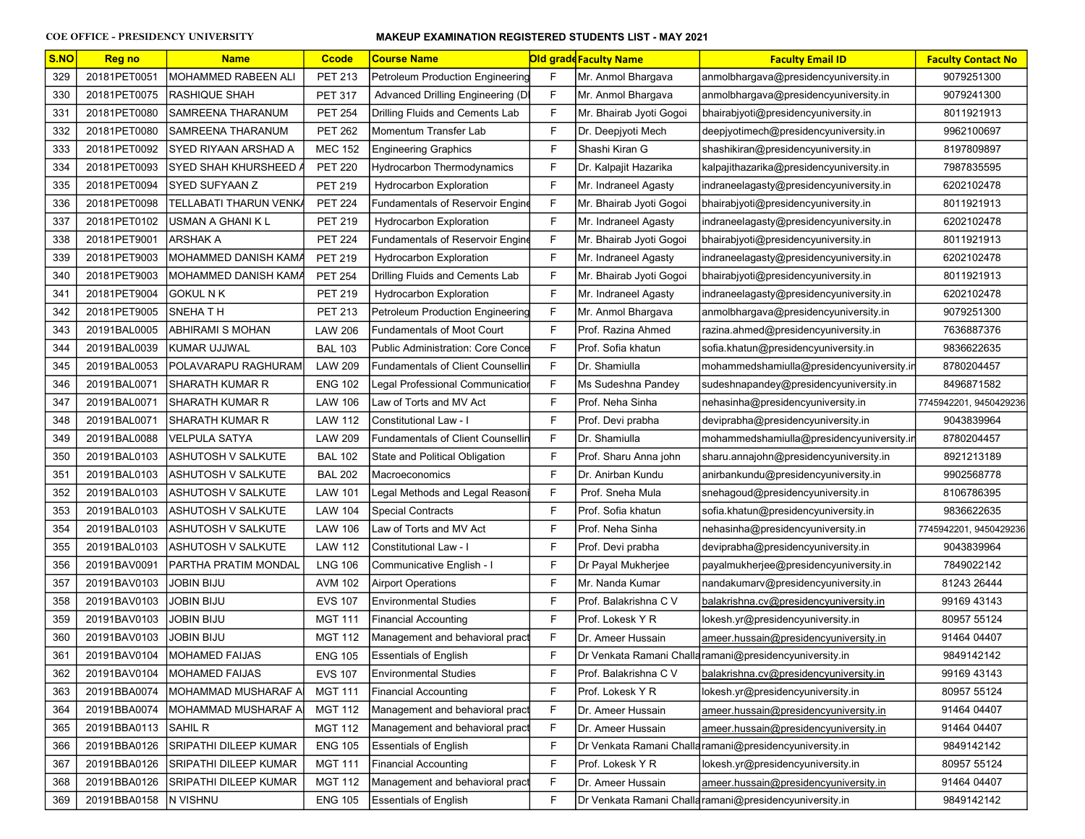| S.NO | <u>Reg no</u> | <b>Name</b>                   | <b>Ccode</b>   | <b>Course Name</b>                       |   | <b>Old grade Faculty Name</b> | <b>Faculty Email ID</b>                                 | <b>Faculty Contact No</b> |
|------|---------------|-------------------------------|----------------|------------------------------------------|---|-------------------------------|---------------------------------------------------------|---------------------------|
| 329  | 20181PET0051  | MOHAMMED RABEEN ALI           | <b>PET 213</b> | <b>Petroleum Production Engineering</b>  | F | Mr. Anmol Bhargava            | anmolbhargava@presidencyuniversity.in                   | 9079251300                |
| 330  | 20181PET0075  | <b>RASHIQUE SHAH</b>          | <b>PET 317</b> | Advanced Drilling Engineering (DI        | F | Mr. Anmol Bhargava            | anmolbhargava@presidencyuniversity.in                   | 9079241300                |
| 331  | 20181PET0080  | SAMREENA THARANUM             | <b>PET 254</b> | Drilling Fluids and Cements Lab          | F | Mr. Bhairab Jyoti Gogoi       | bhairabjyoti@presidencyuniversity.in                    | 8011921913                |
| 332  | 20181PET0080  | SAMREENA THARANUM             | <b>PET 262</b> | Momentum Transfer Lab                    | F | Dr. Deepjyoti Mech            | deepjyotimech@presidencyuniversity.in                   | 9962100697                |
| 333  | 20181PET0092  | SYED RIYAAN ARSHAD A          | <b>MEC 152</b> | <b>Engineering Graphics</b>              | F | Shashi Kiran G                | shashikiran@presidencyuniversity.in                     | 8197809897                |
| 334  | 20181PET0093  | <b>SYED SHAH KHURSHEED</b>    | <b>PET 220</b> | <b>Hydrocarbon Thermodynamics</b>        | F | Dr. Kalpajit Hazarika         | kalpajithazarika@presidencyuniversity.in                | 7987835595                |
| 335  | 20181PET0094  | <b>SYED SUFYAAN Z</b>         | <b>PET 219</b> | <b>Hydrocarbon Exploration</b>           | F | Mr. Indraneel Agasty          | indraneelagasty@presidencyuniversity.in                 | 6202102478                |
| 336  | 20181PET0098  | <b>TELLABATI THARUN VENKA</b> | <b>PET 224</b> | Fundamentals of Reservoir Engine         | F | Mr. Bhairab Jyoti Gogoi       | bhairabjyoti@presidencyuniversity.in                    | 8011921913                |
| 337  | 20181PET0102  | USMAN A GHANI K L             | <b>PET 219</b> | <b>Hydrocarbon Exploration</b>           | F | Mr. Indraneel Agasty          | indraneelagasty@presidencyuniversity.in                 | 6202102478                |
| 338  | 20181PET9001  | ARSHAK A                      | <b>PET 224</b> | Fundamentals of Reservoir Engine         | F | Mr. Bhairab Jyoti Gogoi       | bhairabjyoti@presidencyuniversity.in                    | 8011921913                |
| 339  | 20181PET9003  | MOHAMMED DANISH KAMA          | <b>PET 219</b> | <b>Hydrocarbon Exploration</b>           | F | Mr. Indraneel Agasty          | indraneelagasty@presidencyuniversity.in                 | 6202102478                |
| 340  | 20181PET9003  | MOHAMMED DANISH KAMA          | <b>PET 254</b> | Drilling Fluids and Cements Lab          | F | Mr. Bhairab Jyoti Gogoi       | bhairabjyoti@presidencyuniversity.in                    | 8011921913                |
| 341  | 20181PET9004  | <b>GOKUL N K</b>              | <b>PET 219</b> | <b>Hydrocarbon Exploration</b>           | F | Mr. Indraneel Agasty          | indraneelagasty@presidencyuniversity.in                 | 6202102478                |
| 342  | 20181PET9005  | <b>SNEHATH</b>                | <b>PET 213</b> | <b>Petroleum Production Engineering</b>  | F | Mr. Anmol Bhargava            | anmolbhargava@presidencyuniversity.in                   | 9079251300                |
| 343  | 20191BAL0005  | <b>ABHIRAMI S MOHAN</b>       | <b>LAW 206</b> | <b>Fundamentals of Moot Court</b>        | F | Prof. Razina Ahmed            | razina.ahmed@presidencyuniversity.in                    | 7636887376                |
| 344  | 20191BAL0039  | KUMAR UJJWAL                  | <b>BAL 103</b> | <b>Public Administration: Core Conce</b> | F | Prof. Sofia khatun            | sofia.khatun@presidencyuniversity.in                    | 9836622635                |
| 345  | 20191BAL0053  | POLAVARAPU RAGHURAM           | <b>LAW 209</b> | <b>Fundamentals of Client Counsellir</b> | F | Dr. Shamiulla                 | mohammedshamiulla@presidencyuniversity.ir               | 8780204457                |
| 346  | 20191BAL0071  | <b>SHARATH KUMAR R</b>        | <b>ENG 102</b> | Legal Professional Communicatioı         | F | Ms Sudeshna Pandey            | sudeshnapandey@presidencyuniversity.in                  | 8496871582                |
| 347  | 20191BAL0071  | <b>SHARATH KUMAR R</b>        | <b>LAW 106</b> | Law of Torts and MV Act                  | F | Prof. Neha Sinha              | nehasinha@presidencyuniversity.in                       | 7745942201, 9450429236    |
| 348  | 20191BAL0071  | <b>SHARATH KUMAR R</b>        | <b>LAW 112</b> | Constitutional Law - I                   | F | Prof. Devi prabha             | deviprabha@presidencyuniversity.in                      | 9043839964                |
| 349  | 20191BAL0088  | VELPULA SATYA                 | <b>LAW 209</b> | <b>Fundamentals of Client Counsellin</b> | F | Dr. Shamiulla                 | mohammedshamiulla@presidencyuniversity.in               | 8780204457                |
| 350  | 20191BAL0103  | ASHUTOSH V SALKUTE            | <b>BAL 102</b> | State and Political Obligation           | F | Prof. Sharu Anna john         | sharu.annajohn@presidencyuniversity.in                  | 8921213189                |
| 351  | 20191BAL0103  | ASHUTOSH V SALKUTE            | <b>BAL 202</b> | Macroeconomics                           | F | Dr. Anirban Kundu             | anirbankundu@presidencyuniversity.in                    | 9902568778                |
| 352  | 20191BAL0103  | ASHUTOSH V SALKUTE            | <b>LAW 101</b> | Legal Methods and Legal Reasoni          | F | Prof. Sneha Mula              | snehagoud@presidencyuniversity.in                       | 8106786395                |
| 353  | 20191BAL0103  | ASHUTOSH V SALKUTE            | <b>LAW 104</b> | <b>Special Contracts</b>                 | F | Prof. Sofia khatun            | sofia.khatun@presidencyuniversity.in                    | 9836622635                |
| 354  | 20191BAL0103  | <b>ASHUTOSH V SALKUTE</b>     | <b>LAW 106</b> | Law of Torts and MV Act                  | F | Prof. Neha Sinha              | nehasinha@presidencyuniversity.in                       | 7745942201, 9450429236    |
| 355  | 20191BAL0103  | <b>ASHUTOSH V SALKUTE</b>     | <b>LAW 112</b> | Constitutional Law - I                   | F | Prof. Devi prabha             | deviprabha@presidencyuniversity.in                      | 9043839964                |
| 356  | 20191BAV0091  | PARTHA PRATIM MONDAL          | <b>LNG 106</b> | Communicative English - I                | F | Dr Payal Mukherjee            | payalmukherjee@presidencyuniversity.in                  | 7849022142                |
| 357  | 20191BAV0103  | <b>JOBIN BIJU</b>             | <b>AVM 102</b> | <b>Airport Operations</b>                | F | Mr. Nanda Kumar               | nandakumarv@presidencyuniversity.in                     | 81243 26444               |
| 358  | 20191BAV0103  | JOBIN BIJU                    | <b>EVS 107</b> | <b>Environmental Studies</b>             | F | Prof. Balakrishna C V         | balakrishna.cv@presidencyuniversity.in                  | 99169 43143               |
| 359  | 20191BAV0103  | JOBIN BIJU                    | <b>MGT 111</b> | <b>Financial Accounting</b>              | F | Prof. Lokesk Y R              | lokesh.yr@presidencyuniversity.in                       | 80957 55124               |
| 360  | 20191BAV0103  | <b>JOBIN BIJU</b>             | <b>MGT 112</b> | Management and behavioral prac           | F | Dr. Ameer Hussain             | ameer.hussain@presidencyuniversity.in                   | 91464 04407               |
| 361  | 20191BAV0104  | IMOHAMED FAIJAS               | <b>ENG 105</b> | <b>Essentials of English</b>             | F |                               | Dr Venkata Ramani Challa ramani@presidencyuniversity.in | 9849142142                |
| 362  | 20191BAV0104  | <b>MOHAMED FAIJAS</b>         | <b>EVS 107</b> | <b>Environmental Studies</b>             | F | Prof. Balakrishna C V         | balakrishna.cv@presidencyuniversity.in                  | 99169 43143               |
| 363  | 20191BBA0074  | MOHAMMAD MUSHARAF A           | <b>MGT 111</b> | <b>Financial Accounting</b>              | F | Prof. Lokesk Y R              | lokesh.yr@presidencyuniversity.in                       | 80957 55124               |
| 364  | 20191BBA0074  | MOHAMMAD MUSHARAF A           | <b>MGT 112</b> | Management and behavioral pract          | F | Dr. Ameer Hussain             | ameer.hussain@presidencyuniversity.in                   | 91464 04407               |
| 365  | 20191BBA0113  | SAHIL R                       | <b>MGT 112</b> | Management and behavioral pract          | F | Dr. Ameer Hussain             | ameer.hussain@presidencyuniversity.in                   | 91464 04407               |
| 366  | 20191BBA0126  | SRIPATHI DILEEP KUMAR         | <b>ENG 105</b> | <b>Essentials of English</b>             | F |                               | Dr Venkata Ramani Challa ramani@presidencyuniversity.in | 9849142142                |
| 367  | 20191BBA0126  | SRIPATHI DILEEP KUMAR         | <b>MGT 111</b> | <b>Financial Accounting</b>              | F | Prof. Lokesk Y R              | lokesh.yr@presidencyuniversity.in                       | 80957 55124               |
| 368  | 20191BBA0126  | SRIPATHI DILEEP KUMAR         | <b>MGT 112</b> | Management and behavioral pract          | F | Dr. Ameer Hussain             | ameer.hussain@presidencyuniversity.in                   | 91464 04407               |
| 369  | 20191BBA0158  | N VISHNU                      | <b>ENG 105</b> | <b>Essentials of English</b>             | F |                               | Dr Venkata Ramani Challa ramani@presidencyuniversity.in | 9849142142                |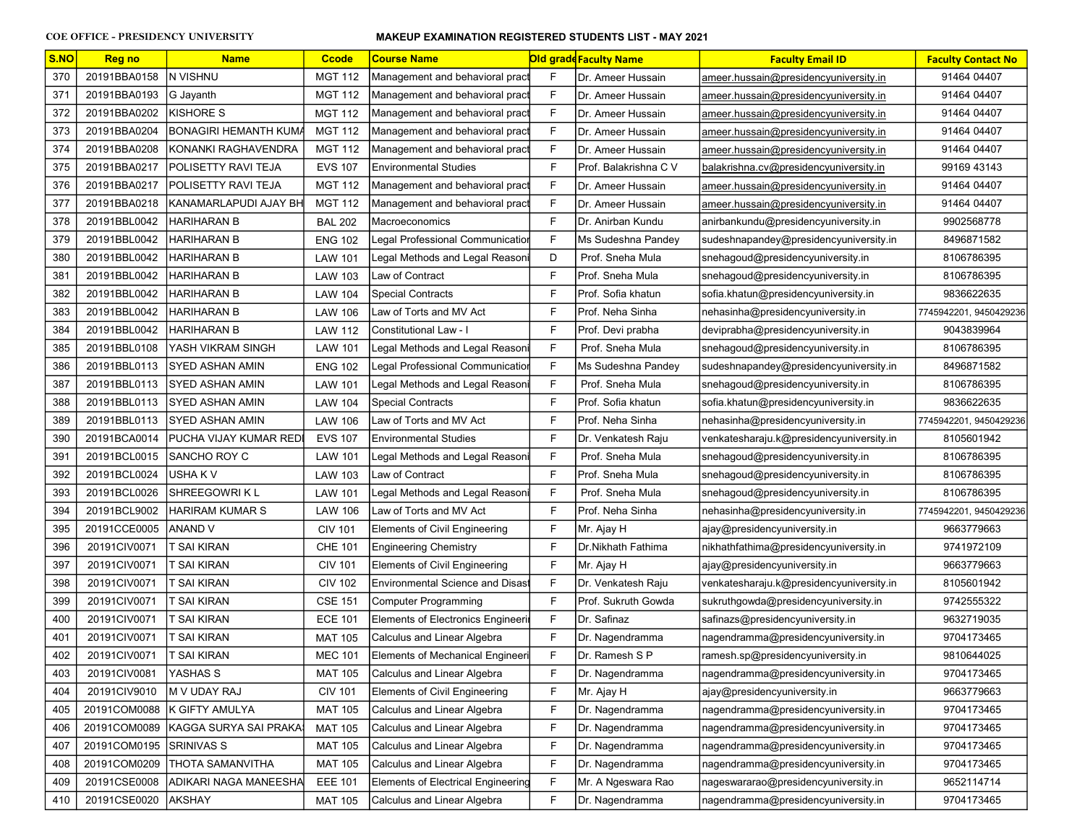| S.NO | Reg no                  | <b>Name</b>                        | <b>Ccode</b>   | <b>Course Name</b>                      |   | <b>Old grade Faculty Name</b> | <b>Faculty Email ID</b>                  | <b>Faculty Contact No</b> |
|------|-------------------------|------------------------------------|----------------|-----------------------------------------|---|-------------------------------|------------------------------------------|---------------------------|
| 370  | 20191BBA0158            | <b>N VISHNU</b>                    | <b>MGT 112</b> | Management and behavioral pract         | F | Dr. Ameer Hussain             | ameer.hussain@presidencyuniversity.in    | 91464 04407               |
| 371  | 20191BBA0193            | G Jayanth                          | <b>MGT 112</b> | Management and behavioral pract         | F | Dr. Ameer Hussain             | ameer.hussain@presidencyuniversity.in    | 91464 04407               |
| 372  | 20191BBA0202            | <b>KISHORE S</b>                   | <b>MGT 112</b> | Management and behavioral pract         | F | Dr. Ameer Hussain             | ameer.hussain@presidencyuniversity.in    | 91464 04407               |
| 373  | 20191BBA0204            | BONAGIRI HEMANTH KUMA              | <b>MGT 112</b> | Management and behavioral pract         | F | Dr. Ameer Hussain             | ameer.hussain@presidencyuniversity.in    | 91464 04407               |
| 374  | 20191BBA0208            | KONANKI RAGHAVENDRA                | <b>MGT 112</b> | Management and behavioral pract         | F | Dr. Ameer Hussain             | ameer.hussain@presidencyuniversity.in    | 91464 04407               |
| 375  | 20191BBA0217            | POLISETTY RAVI TEJA                | <b>EVS 107</b> | <b>Environmental Studies</b>            | F | Prof. Balakrishna C V         | balakrishna.cv@presidencyuniversity.in   | 99169 43143               |
| 376  | 20191BBA0217            | <b>POLISETTY RAVI TEJA</b>         | <b>MGT 112</b> | Management and behavioral pract         | F | Dr. Ameer Hussain             | ameer.hussain@presidencyuniversity.in    | 91464 04407               |
| 377  | 20191BBA0218            | <b>KANAMARLAPUDI AJAY BH</b>       | <b>MGT 112</b> | Management and behavioral pract         | F | Dr. Ameer Hussain             | ameer.hussain@presidencyuniversity.in    | 91464 04407               |
| 378  | 20191BBL0042            | <b>HARIHARAN B</b>                 | <b>BAL 202</b> | Macroeconomics                          | F | Dr. Anirban Kundu             | anirbankundu@presidencyuniversity.in     | 9902568778                |
| 379  | 20191BBL0042            | HARIHARAN B                        | <b>ENG 102</b> | Legal Professional Communication        | F | Ms Sudeshna Pandev            | sudeshnapandey@presidencyuniversity.in   | 8496871582                |
| 380  | 20191BBL0042            | HARIHARAN B                        | <b>LAW 101</b> | Legal Methods and Legal Reasoni         | D | Prof. Sneha Mula              | snehagoud@presidencyuniversity.in        | 8106786395                |
| 381  | 20191BBL0042            | HARIHARAN B                        | LAW 103        | Law of Contract                         | F | Prof. Sneha Mula              | snehagoud@presidencyuniversity.in        | 8106786395                |
| 382  | 20191BBL0042            | HARIHARAN B                        | <b>LAW 104</b> | <b>Special Contracts</b>                | F | Prof. Sofia khatun            | sofia.khatun@presidencyuniversity.in     | 9836622635                |
| 383  | 20191BBL0042            | HARIHARAN B                        | <b>LAW 106</b> | Law of Torts and MV Act                 | F | Prof. Neha Sinha              | nehasinha@presidencyuniversity.in        | 7745942201, 9450429236    |
| 384  | 20191BBL0042            | HARIHARAN B                        | LAW 112        | Constitutional Law - I                  | F | Prof. Devi prabha             | deviprabha@presidencyuniversity.in       | 9043839964                |
| 385  | 20191BBL0108            | YASH VIKRAM SINGH                  | <b>LAW 101</b> | Legal Methods and Legal Reasoni         | F | Prof. Sneha Mula              | snehagoud@presidencyuniversity.in        | 8106786395                |
| 386  | 20191BBL0113            | ISYED ASHAN AMIN                   | <b>ENG 102</b> | Legal Professional Communication        | F | Ms Sudeshna Pandey            | sudeshnapandey@presidencyuniversity.in   | 8496871582                |
| 387  | 20191BBL0113            | ISYED ASHAN AMIN                   | <b>LAW 101</b> | Legal Methods and Legal Reasoni         | F | Prof. Sneha Mula              | snehagoud@presidencyuniversity.in        | 8106786395                |
| 388  | 20191BBL0113            | SYED ASHAN AMIN                    | LAW 104        | <b>Special Contracts</b>                | F | Prof. Sofia khatun            | sofia.khatun@presidencyuniversity.in     | 9836622635                |
| 389  | 20191BBL0113            | ISYED ASHAN AMIN                   | <b>LAW 106</b> | Law of Torts and MV Act                 | F | Prof. Neha Sinha              | nehasinha@presidencyuniversity.in        | 7745942201, 9450429236    |
| 390  | 20191BCA0014            | <b>IPUCHA VIJAY KUMAR REDI</b>     | <b>EVS 107</b> | <b>Environmental Studies</b>            | F | Dr. Venkatesh Raju            | venkatesharaju.k@presidencyuniversity.in | 8105601942                |
| 391  | 20191BCL0015            | <b>ISANCHO ROY C</b>               | <b>LAW 101</b> | Legal Methods and Legal Reasoni         | F | Prof. Sneha Mula              | snehagoud@presidencyuniversity.in        | 8106786395                |
| 392  | 20191BCL0024            | USHA K V                           | LAW 103        | Law of Contract                         | F | Prof. Sneha Mula              | snehagoud@presidencyuniversity.in        | 8106786395                |
| 393  | 20191BCL0026            | SHREEGOWRI K L                     | <b>LAW 101</b> | Legal Methods and Legal Reasoni         | F | Prof. Sneha Mula              | snehagoud@presidencyuniversity.in        | 8106786395                |
| 394  | 20191BCL9002            | HARIRAM KUMAR S                    | <b>LAW 106</b> | Law of Torts and MV Act                 | F | Prof. Neha Sinha              | nehasinha@presidencyuniversity.in        | 7745942201, 9450429236    |
| 395  | 20191CCE0005            | ANAND V                            | <b>CIV 101</b> | <b>Elements of Civil Engineering</b>    | F | Mr. Ajay H                    | ajay@presidencyuniversity.in             | 9663779663                |
| 396  | 20191CIV0071            | T SAI KIRAN                        | <b>CHE 101</b> | Engineering Chemistry                   | F | Dr.Nikhath Fathima            | nikhathfathima@presidencyuniversity.in   | 9741972109                |
| 397  | 20191CIV0071            | T SAI KIRAN                        | <b>CIV 101</b> | <b>Elements of Civil Engineering</b>    | F | Mr. Ajay H                    | ajay@presidencyuniversity.in             | 9663779663                |
| 398  | 20191CIV0071            | <b>T SAI KIRAN</b>                 | <b>CIV 102</b> | <b>Environmental Science and Disast</b> | F | Dr. Venkatesh Raju            | venkatesharaju.k@presidencyuniversity.in | 8105601942                |
| 399  | 20191CIV0071            | T SAI KIRAN                        | <b>CSE 151</b> | Computer Programming                    | F | Prof. Sukruth Gowda           | sukruthgowda@presidencyuniversity.in     | 9742555322                |
| 400  | 20191CIV0071            | T SAI KIRAN                        | <b>ECE 101</b> | Elements of Electronics Engineeri       | F | Dr. Safinaz                   | safinazs@presidencyuniversity.in         | 9632719035                |
| 401  | 20191CIV0071            | T SAI KIRAN                        | <b>MAT 105</b> | Calculus and Linear Algebra             | F | Dr. Nagendramma               | nagendramma@presidencyuniversity.in      | 9704173465                |
| 402  | 20191CIV0071            | T SAI KIRAN                        | <b>MEC 101</b> | Elements of Mechanical Engineeri        | F | Dr. Ramesh S P                | ramesh.sp@presidencyuniversity.in        | 9810644025                |
| 403  | 20191CIV0081            | YASHAS S                           | <b>MAT 105</b> | Calculus and Linear Algebra             | F | Dr. Nagendramma               | nagendramma@presidencyuniversity.in      | 9704173465                |
| 404  | 20191CIV9010            | M V UDAY RAJ                       | <b>CIV 101</b> | Elements of Civil Engineering           | F | Mr. Ajay H                    | ajay@presidencyuniversity.in             | 9663779663                |
| 405  | 20191COM0088            | K GIFTY AMULYA                     | <b>MAT 105</b> | Calculus and Linear Algebra             | F | Dr. Nagendramma               | nagendramma@presidencyuniversity.in      | 9704173465                |
| 406  |                         | 20191COM0089 KAGGA SURYA SAI PRAKA | <b>MAT 105</b> | Calculus and Linear Algebra             | F | Dr. Nagendramma               | nagendramma@presidencyuniversity.in      | 9704173465                |
| 407  | 20191COM0195 SRINIVAS S |                                    | <b>MAT 105</b> | Calculus and Linear Algebra             | F | Dr. Nagendramma               | nagendramma@presidencyuniversity.in      | 9704173465                |
| 408  | 20191COM0209            | <b>THOTA SAMANVITHA</b>            | <b>MAT 105</b> | Calculus and Linear Algebra             | F | Dr. Nagendramma               | nagendramma@presidencyuniversity.in      | 9704173465                |
| 409  | 20191CSE0008            | ADIKARI NAGA MANEESHA              | <b>EEE 101</b> | Elements of Electrical Engineering      | F | Mr. A Ngeswara Rao            | nageswararao@presidencyuniversity.in     | 9652114714                |
| 410  | 20191CSE0020            | <b>AKSHAY</b>                      | <b>MAT 105</b> | Calculus and Linear Algebra             | F | Dr. Nagendramma               | nagendramma@presidencyuniversity.in      | 9704173465                |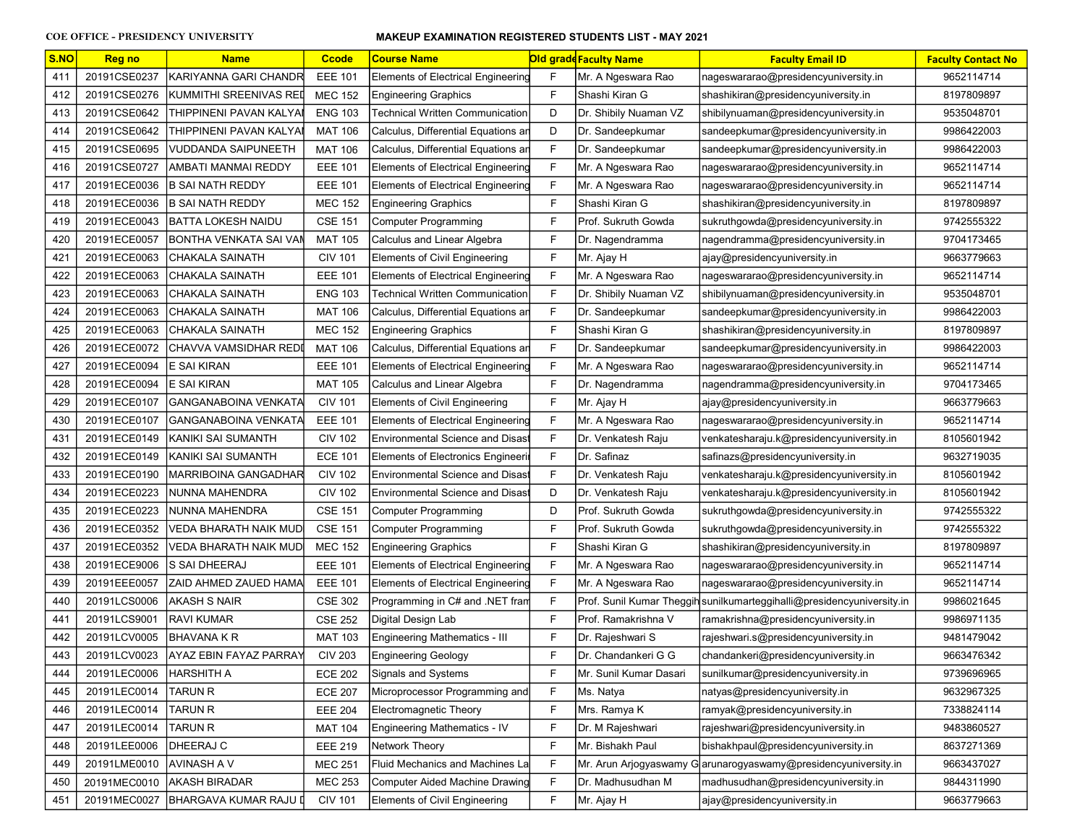| S.NO | <b>Reg no</b> | <b>Name</b>                   | <b>Ccode</b>   | <b>Course Name</b>                        |   | <b>Old grade Faculty Name</b> | <b>Faculty Email ID</b>                                                | <b>Faculty Contact No</b> |
|------|---------------|-------------------------------|----------------|-------------------------------------------|---|-------------------------------|------------------------------------------------------------------------|---------------------------|
| 411  | 20191CSE0237  | KARIYANNA GARI CHANDR         | <b>EEE 101</b> | <b>Elements of Electrical Engineering</b> | F | Mr. A Ngeswara Rao            | nageswararao@presidencyuniversity.in                                   | 9652114714                |
| 412  | 20191CSE0276  | KUMMITHI SREENIVAS REI        | <b>MEC 152</b> | <b>Engineering Graphics</b>               | F | Shashi Kiran G                | shashikiran@presidencyuniversity.in                                    | 8197809897                |
| 413  | 20191CSE0642  | THIPPINENI PAVAN KALYAI       | <b>ENG 103</b> | Technical Written Communication           | D | Dr. Shibily Nuaman VZ         | shibilynuaman@presidencyuniversity.in                                  | 9535048701                |
| 414  | 20191CSE0642  | THIPPINENI PAVAN KALYAI       | <b>MAT 106</b> | Calculus, Differential Equations an       | D | Dr. Sandeepkumar              | sandeepkumar@presidencyuniversity.in                                   | 9986422003                |
| 415  | 20191CSE0695  | VUDDANDA SAIPUNEETH           | <b>MAT 106</b> | Calculus, Differential Equations an       | F | Dr. Sandeepkumar              | sandeepkumar@presidencyuniversity.in                                   | 9986422003                |
| 416  | 20191CSE0727  | AMBATI MANMAI REDDY           | <b>EEE 101</b> | Elements of Electrical Engineering        | F | Mr. A Ngeswara Rao            | nageswararao@presidencyuniversity.in                                   | 9652114714                |
| 417  | 20191ECE0036  | <b>B SAI NATH REDDY</b>       | <b>EEE 101</b> | <b>Elements of Electrical Engineering</b> | F | Mr. A Ngeswara Rao            | nageswararao@presidencyuniversity.in                                   | 9652114714                |
| 418  | 20191ECE0036  | <b>B SAI NATH REDDY</b>       | <b>MEC 152</b> | <b>Engineering Graphics</b>               | F | Shashi Kiran G                | shashikiran@presidencyuniversity.in                                    | 8197809897                |
| 419  | 20191ECE0043  | BATTA LOKESH NAIDU            | <b>CSE 151</b> | <b>Computer Programming</b>               | F | Prof. Sukruth Gowda           | sukruthgowda@presidencyuniversity.in                                   | 9742555322                |
| 420  | 20191ECE0057  | İBONTHA VENKATA SAI VAN       | <b>MAT 105</b> | Calculus and Linear Algebra               | F | Dr. Nagendramma               | nagendramma@presidencyuniversity.in                                    | 9704173465                |
| 421  | 20191ECE0063  | CHAKALA SAINATH               | <b>CIV 101</b> | <b>Elements of Civil Engineering</b>      | F | Mr. Ajay H                    | ajay@presidencyuniversity.in                                           | 9663779663                |
| 422  | 20191ECE0063  | CHAKALA SAINATH               | <b>EEE 101</b> | Elements of Electrical Engineering        | F | Mr. A Ngeswara Rao            | nageswararao@presidencyuniversity.in                                   | 9652114714                |
| 423  | 20191ECE0063  | CHAKALA SAINATH               | <b>ENG 103</b> | Technical Written Communication           | F | Dr. Shibily Nuaman VZ         | shibilynuaman@presidencyuniversity.in                                  | 9535048701                |
| 424  | 20191ECE0063  | CHAKALA SAINATH               | <b>MAT 106</b> | Calculus, Differential Equations an       | F | Dr. Sandeepkumar              | sandeepkumar@presidencyuniversity.in                                   | 9986422003                |
| 425  | 20191ECE0063  | CHAKALA SAINATH               | <b>MEC 152</b> | <b>Engineering Graphics</b>               | F | Shashi Kiran G                | shashikiran@presidencyuniversity.in                                    | 8197809897                |
| 426  | 20191ECE0072  | CHAVVA VAMSIDHAR REDI         | <b>MAT 106</b> | Calculus, Differential Equations an       | F | Dr. Sandeepkumar              | sandeepkumar@presidencyuniversity.in                                   | 9986422003                |
| 427  | 20191ECE0094  | <b>E SAI KIRAN</b>            | <b>EEE 101</b> | Elements of Electrical Engineering        | F | Mr. A Ngeswara Rao            | nageswararao@presidencyuniversity.in                                   | 9652114714                |
| 428  | 20191ECE0094  | <b>JE SAI KIRAN</b>           | <b>MAT 105</b> | Calculus and Linear Algebra               | F | Dr. Nagendramma               | nagendramma@presidencyuniversity.in                                    | 9704173465                |
| 429  | 20191ECE0107  | GANGANABOINA VENKATA          | <b>CIV 101</b> | <b>Elements of Civil Engineering</b>      | F | Mr. Ajay H                    | ajay@presidencyuniversity.in                                           | 9663779663                |
| 430  | 20191ECE0107  | GANGANABOINA VENKATA          | <b>EEE 101</b> | <b>Elements of Electrical Engineering</b> | F | Mr. A Ngeswara Rao            | nageswararao@presidencyuniversity.in                                   | 9652114714                |
| 431  | 20191ECE0149  | KANIKI SAI SUMANTH            | <b>CIV 102</b> | <b>Environmental Science and Disast</b>   | F | Dr. Venkatesh Raju            | venkatesharaju.k@presidencyuniversity.in                               | 8105601942                |
| 432  | 20191ECE0149  | KANIKI SAI SUMANTH            | <b>ECE 101</b> | <b>Elements of Electronics Engineerin</b> | F | Dr. Safinaz                   | safinazs@presidencyuniversity.in                                       | 9632719035                |
| 433  | 20191ECE0190  | MARRIBOINA GANGADHAR          | <b>CIV 102</b> | <b>Environmental Science and Disast</b>   | F | Dr. Venkatesh Raju            | venkatesharaju.k@presidencyuniversity.in                               | 8105601942                |
| 434  | 20191ECE0223  | NUNNA MAHENDRA                | <b>CIV 102</b> | <b>Environmental Science and Disast</b>   | D | Dr. Venkatesh Raju            | venkatesharaju.k@presidencyuniversity.in                               | 8105601942                |
| 435  | 20191ECE0223  | NUNNA MAHENDRA                | <b>CSE 151</b> | <b>Computer Programming</b>               | D | Prof. Sukruth Gowda           | sukruthgowda@presidencyuniversity.in                                   | 9742555322                |
| 436  | 20191ECE0352  | VEDA BHARATH NAIK MUD         | <b>CSE 151</b> | Computer Programming                      | F | Prof. Sukruth Gowda           | sukruthgowda@presidencyuniversity.in                                   | 9742555322                |
| 437  | 20191ECE0352  | VEDA BHARATH NAIK MUD         | <b>MEC 152</b> | <b>Engineering Graphics</b>               | F | Shashi Kiran G                | shashikiran@presidencyuniversity.in                                    | 8197809897                |
| 438  | 20191ECE9006  | <b>S SAI DHEERAJ</b>          | <b>EEE 101</b> | Elements of Electrical Engineering        | F | Mr. A Ngeswara Rao            | nageswararao@presidencyuniversity.in                                   | 9652114714                |
| 439  | 20191EEE0057  | IZAID AHMED ZAUED HAMAl       | <b>EEE 101</b> | Elements of Electrical Engineering        | F | Mr. A Ngeswara Rao            | nageswararao@presidencyuniversity.in                                   | 9652114714                |
| 440  | 20191LCS0006  | AKASH S NAIR                  | <b>CSE 302</b> | Programming in C# and .NET fram           | F |                               | Prof. Sunil Kumar Theggih sunilkumarteggihalli@presidencyuniversity.in | 9986021645                |
| 441  | 20191LCS9001  | RAVI KUMAR                    | <b>CSE 252</b> | Digital Design Lab                        | F | Prof. Ramakrishna V           | ramakrishna@presidencyuniversity.in                                    | 9986971135                |
| 442  | 20191LCV0005  | <b>BHAVANA K R</b>            | <b>MAT 103</b> | Engineering Mathematics - III             | F | Dr. Rajeshwari S              | rajeshwari.s@presidencyuniversity.in                                   | 9481479042                |
| 443  | 20191LCV0023  | <b>AYAZ EBIN FAYAZ PARRAY</b> | <b>CIV 203</b> | <b>Engineering Geology</b>                | F | IDr. Chandankeri G G          | chandankeri@presidencyuniversity.in                                    | 9663476342                |
| 444  | 20191LEC0006  | <b>HARSHITH A</b>             | <b>ECE 202</b> | Signals and Systems                       | F | Mr. Sunil Kumar Dasari        | sunilkumar@presidencyuniversity.in                                     | 9739696965                |
| 445  | 20191LEC0014  | <b>TARUN R</b>                | <b>ECE 207</b> | Microprocessor Programming and            | F | Ms. Natya                     | natyas@presidencyuniversity.in                                         | 9632967325                |
| 446  | 20191LEC0014  | <b>TARUN R</b>                | <b>EEE 204</b> | Electromagnetic Theory                    | F | Mrs. Ramya K                  | ramyak@presidencyuniversity.in                                         | 7338824114                |
| 447  | 20191LEC0014  | <b>TARUN R</b>                | <b>MAT 104</b> | Engineering Mathematics - IV              | F | Dr. M Rajeshwari              | rajeshwari@presidencyuniversity.in                                     | 9483860527                |
| 448  | 20191LEE0006  | DHEERAJ C                     | <b>EEE 219</b> | Network Theory                            | F | Mr. Bishakh Paul              | bishakhpaul@presidencyuniversity.in                                    | 8637271369                |
| 449  | 20191LME0010  | AVINASH A V                   | <b>MEC 251</b> | <b>Fluid Mechanics and Machines La</b>    | F | Mr. Arun Arjogyaswamy         | arunarogyaswamy@presidencyuniversity.in                                | 9663437027                |
| 450  | 20191MEC0010  | <b>AKASH BIRADAR</b>          | <b>MEC 253</b> | Computer Aided Machine Drawing            | F | Dr. Madhusudhan M             | madhusudhan@presidencyuniversity.in                                    | 9844311990                |
| 451  | 20191MEC0027  | BHARGAVA KUMAR RAJU I         | <b>CIV 101</b> | Elements of Civil Engineering             | F | Mr. Ajay H                    | ajay@presidencyuniversity.in                                           | 9663779663                |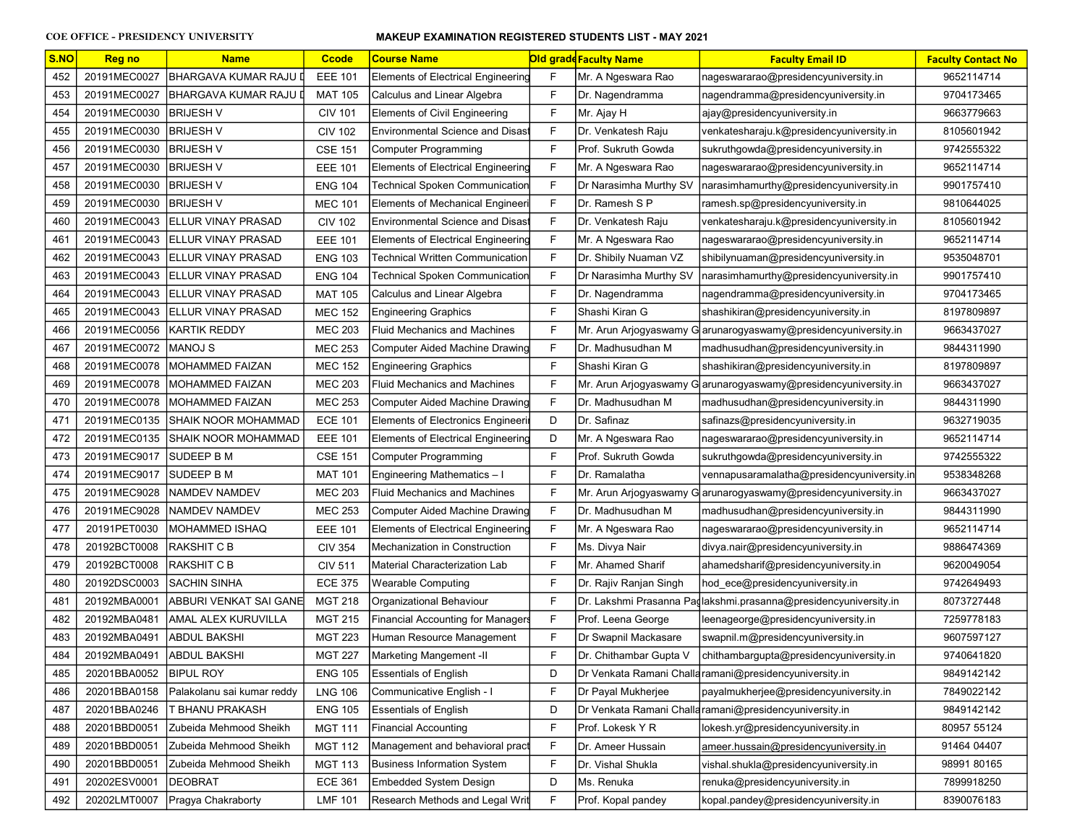| S.NO | <b>Reg no</b> | <b>Name</b>                | <b>Ccode</b>   | <b>Course Name</b>                        |              | Old gradd Faculty Name | <b>Faculty Email ID</b>                                          | <b>Faculty Contact No</b> |
|------|---------------|----------------------------|----------------|-------------------------------------------|--------------|------------------------|------------------------------------------------------------------|---------------------------|
| 452  | 20191MEC0027  | BHARGAVA KUMAR RAJU        | <b>EEE 101</b> | <b>Elements of Electrical Engineering</b> | F            | Mr. A Ngeswara Rao     | nageswararao@presidencyuniversity.in                             | 9652114714                |
| 453  | 20191MEC0027  | <b>BHARGAVA KUMAR RAJU</b> | <b>MAT 105</b> | Calculus and Linear Algebra               | F            | Dr. Nagendramma        | nagendramma@presidencyuniversity.in                              | 9704173465                |
| 454  | 20191MEC0030  | BRIJESH V                  | <b>CIV 101</b> | <b>Elements of Civil Engineering</b>      | F            | Mr. Ajay H             | ajay@presidencyuniversity.in                                     | 9663779663                |
| 455  | 20191MEC0030  | <b>BRIJESH V</b>           | <b>CIV 102</b> | Environmental Science and Disast          | F            | Dr. Venkatesh Raju     | venkatesharaju.k@presidencyuniversity.in                         | 8105601942                |
| 456  | 20191MEC0030  | BRIJESH V                  | <b>CSE 151</b> | <b>Computer Programming</b>               | F            | Prof. Sukruth Gowda    | sukruthgowda@presidencyuniversity.in                             | 9742555322                |
| 457  | 20191MEC0030  | BRIJESH V                  | <b>EEE 101</b> | <b>Elements of Electrical Engineering</b> | F            | Mr. A Ngeswara Rao     | nageswararao@presidencyuniversity.in                             | 9652114714                |
| 458  | 20191MEC0030  | <b>BRIJESH V</b>           | <b>ENG 104</b> | <b>Technical Spoken Communication</b>     | F            | Dr Narasimha Murthy SV | narasimhamurthy@presidencyuniversity.in                          | 9901757410                |
| 459  | 20191MEC0030  | <b>BRIJESH V</b>           | <b>MEC 101</b> | <b>Elements of Mechanical Engineeri</b>   | F            | Dr. Ramesh S P         | ramesh.sp@presidencyuniversity.in                                | 9810644025                |
| 460  | 20191MEC0043  | <b>ELLUR VINAY PRASAD</b>  | <b>CIV 102</b> | <b>Environmental Science and Disast</b>   | F            | Dr. Venkatesh Raju     | venkatesharaju.k@presidencyuniversity.in                         | 8105601942                |
| 461  | 20191MEC0043  | <b>IELLUR VINAY PRASAD</b> | <b>EEE 101</b> | <b>Elements of Electrical Engineering</b> | $\mathsf{F}$ | Mr. A Ngeswara Rao     | nageswararao@presidencyuniversity.in                             | 9652114714                |
| 462  | 20191MEC0043  | ELLUR VINAY PRASAD         | <b>ENG 103</b> | Technical Written Communication           | F            | Dr. Shibily Nuaman VZ  | shibilynuaman@presidencyuniversity.in                            | 9535048701                |
| 463  | 20191MEC0043  | <b>IELLUR VINAY PRASAD</b> | <b>ENG 104</b> | Technical Spoken Communication            | F            | Dr Narasimha Murthy SV | narasimhamurthy@presidencyuniversity.in                          | 9901757410                |
| 464  | 20191MEC0043  | <b>ELLUR VINAY PRASAD</b>  | <b>MAT 105</b> | Calculus and Linear Algebra               | F            | Dr. Nagendramma        | nagendramma@presidencyuniversity.in                              | 9704173465                |
| 465  | 20191MEC0043  | <b>ELLUR VINAY PRASAD</b>  | <b>MEC 152</b> | <b>Engineering Graphics</b>               | F            | Shashi Kiran G         | shashikiran@presidencyuniversity.in                              | 8197809897                |
| 466  | 20191MEC0056  | <b>IKARTIK REDDY</b>       | <b>MEC 203</b> | <b>Fluid Mechanics and Machines</b>       | F            |                        | Mr. Arun Arjogyaswamy G arunarogyaswamy@presidencyuniversity.in  | 9663437027                |
| 467  | 20191MEC0072  | MANOJ S                    | <b>MEC 253</b> | Computer Aided Machine Drawing            | F            | Dr. Madhusudhan M      | madhusudhan@presidencyuniversity.in                              | 9844311990                |
| 468  | 20191MEC0078  | <b>IMOHAMMED FAIZAN</b>    | <b>MEC 152</b> | <b>Engineering Graphics</b>               | F            | Shashi Kiran G         | shashikiran@presidencyuniversity.in                              | 8197809897                |
| 469  | 20191MEC0078  | <b>IMOHAMMED FAIZAN</b>    | <b>MEC 203</b> | <b>Fluid Mechanics and Machines</b>       | F            |                        | Mr. Arun Arjogyaswamy G arunarogyaswamy@presidencyuniversity.in  | 9663437027                |
| 470  | 20191MEC0078  | IMOHAMMED FAIZAN           | <b>MEC 253</b> | Computer Aided Machine Drawing            | F            | Dr. Madhusudhan M      | madhusudhan@presidencyuniversity.in                              | 9844311990                |
| 471  | 20191MEC0135  | SHAIK NOOR MOHAMMAD        | <b>ECE 101</b> | <b>Elements of Electronics Engineeri</b>  | D            | Dr. Safinaz            | safinazs@presidencyuniversity.in                                 | 9632719035                |
| 472  | 20191MEC0135  | SHAIK NOOR MOHAMMAD        | <b>EEE 101</b> | <b>Elements of Electrical Engineering</b> | D            | Mr. A Ngeswara Rao     | nageswararao@presidencyuniversity.in                             | 9652114714                |
| 473  | 20191MEC9017  | <b>SUDEEP B M</b>          | <b>CSE 151</b> | <b>Computer Programming</b>               | F            | Prof. Sukruth Gowda    | sukruthgowda@presidencyuniversity.in                             | 9742555322                |
| 474  | 20191MEC9017  | <b>SUDEEP B M</b>          | <b>MAT 101</b> | Engineering Mathematics - I               | F            | Dr. Ramalatha          | vennapusaramalatha@presidencyuniversity.in                       | 9538348268                |
| 475  | 20191MEC9028  | NAMDEV NAMDEV              | <b>MEC 203</b> | Fluid Mechanics and Machines              | F            |                        | Mr. Arun Arjogyaswamy G arunarogyaswamy@presidencyuniversity.in  | 9663437027                |
| 476  | 20191MEC9028  | NAMDEV NAMDEV              | <b>MEC 253</b> | Computer Aided Machine Drawing            | F            | Dr. Madhusudhan M      | madhusudhan@presidencyuniversity.in                              | 9844311990                |
| 477  | 20191PET0030  | <b>MOHAMMED ISHAQ</b>      | <b>EEE 101</b> | <b>Elements of Electrical Engineering</b> | F            | Mr. A Ngeswara Rao     | nageswararao@presidencyuniversity.in                             | 9652114714                |
| 478  | 20192BCT0008  | RAKSHIT C B                | <b>CIV 354</b> | Mechanization in Construction             | F            | Ms. Divya Nair         | divya.nair@presidencyuniversity.in                               | 9886474369                |
| 479  | 20192BCT0008  | RAKSHIT C B                | <b>CIV 511</b> | Material Characterization Lab             | F            | Mr. Ahamed Sharif      | ahamedsharif@presidencyuniversity.in                             | 9620049054                |
| 480  | 20192DSC0003  | SACHIN SINHA               | <b>ECE 375</b> | <b>Wearable Computing</b>                 | F            | Dr. Rajiv Ranjan Singh | hod ece@presidencyuniversity.in                                  | 9742649493                |
| 481  | 20192MBA0001  | ABBURI VENKAT SAI GANE     | <b>MGT 218</b> | Organizational Behaviour                  | F            |                        | Dr. Lakshmi Prasanna Padlakshmi.prasanna@presidencyuniversity.in | 8073727448                |
| 482  | 20192MBA0481  | AMAL ALEX KURUVILLA        | <b>MGT 215</b> | <b>Financial Accounting for Managers</b>  | F            | Prof. Leena George     | leenageorge@presidencyuniversity.in                              | 7259778183                |
| 483  | 20192MBA0491  | ABDUL BAKSHI               | <b>MGT 223</b> | Human Resource Management                 | F            | Dr Swapnil Mackasare   | swapnil.m@presidencyuniversity.in                                | 9607597127                |
| 484  | 20192MBA0491  | ABDUL BAKSHI               | <b>MGT 227</b> | Marketing Mangement -II                   | F            | Dr. Chithambar Gupta V | chithambargupta@presidencyuniversity.in                          | 9740641820                |
| 485  | 20201BBA0052  | <b>BIPUL ROY</b>           | <b>ENG 105</b> | <b>Essentials of English</b>              | D            |                        | Dr Venkata Ramani Challa ramani@presidencyuniversity.in          | 9849142142                |
| 486  | 20201BBA0158  | Palakolanu sai kumar reddy | <b>LNG 106</b> | Communicative English - I                 | F            | Dr Payal Mukherjee     | payalmukherjee@presidencyuniversity.in                           | 7849022142                |
| 487  | 20201BBA0246  | T BHANU PRAKASH            | <b>ENG 105</b> | <b>Essentials of English</b>              | D            |                        | Dr Venkata Ramani Challa ramani@presidencyuniversity.in          | 9849142142                |
| 488  | 20201BBD0051  | Zubeida Mehmood Sheikh     | <b>MGT 111</b> | <b>Financial Accounting</b>               | F            | Prof. Lokesk Y R       | lokesh.yr@presidencyuniversity.in                                | 80957 55124               |
| 489  | 20201BBD0051  | Zubeida Mehmood Sheikh     | <b>MGT 112</b> | Management and behavioral pract           | F            | Dr. Ameer Hussain      | ameer.hussain@presidencyuniversity.in                            | 91464 04407               |
| 490  | 20201BBD0051  | Zubeida Mehmood Sheikh     | <b>MGT 113</b> | <b>Business Information System</b>        | F            | Dr. Vishal Shukla      | vishal.shukla@presidencyuniversity.in                            | 98991 80165               |
| 491  | 20202ESV0001  | DEOBRAT                    | <b>ECE 361</b> | <b>Embedded System Design</b>             | D            | Ms. Renuka             | renuka@presidencyuniversity.in                                   | 7899918250                |
| 492  | 20202LMT0007  | Pragya Chakraborty         | <b>LMF 101</b> | Research Methods and Legal Writ           | F            | Prof. Kopal pandey     | kopal.pandey@presidencyuniversity.in                             | 8390076183                |